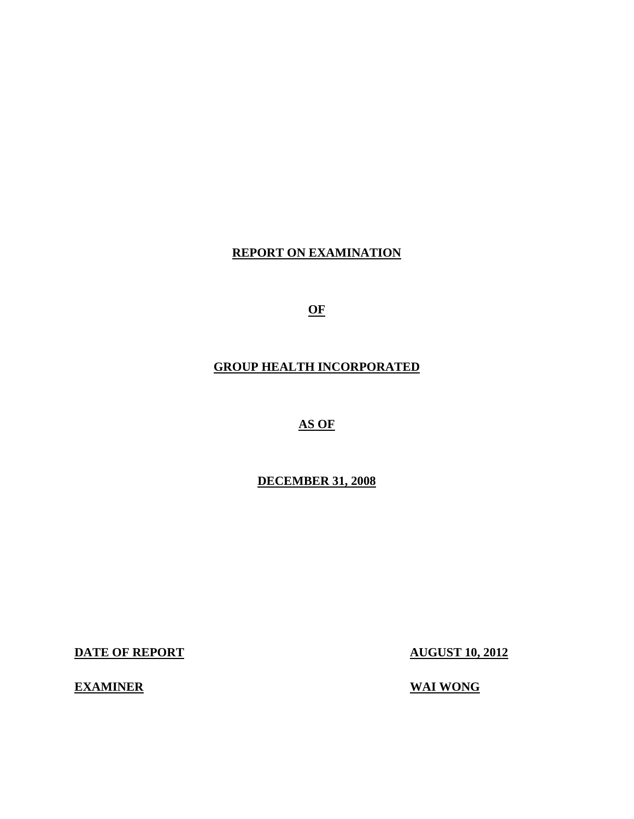# **REPORT ON EXAMINATION**

**OF** 

# **GROUP HEALTH INCORPORATED**

# **AS OF**

## **DECEMBER 31, 2008**

**DATE OF REPORT AUGUST 10, 2012** 

## **EXAMINER** WAI WONG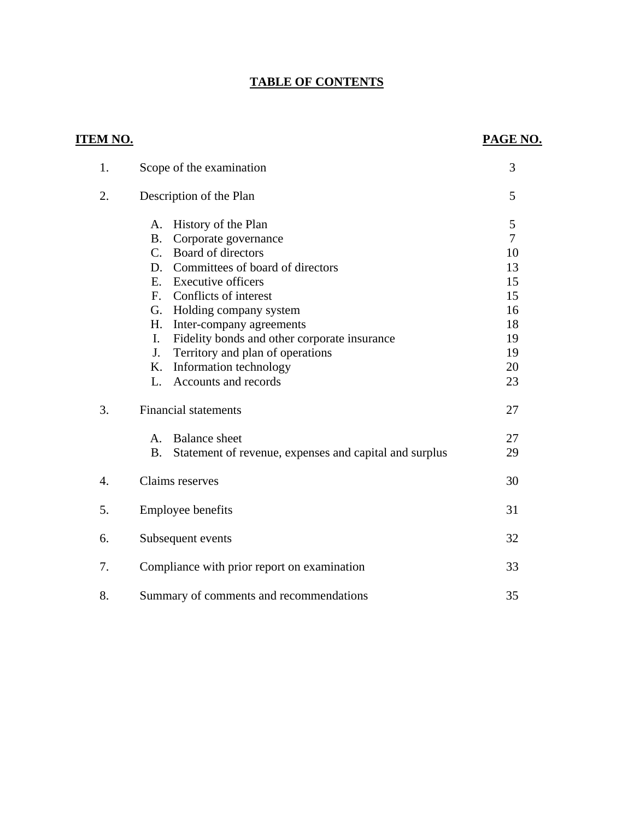# **TABLE OF CONTENTS**

| <u>ITEM NO.</u>  |                                                                     | PAGE NO.       |
|------------------|---------------------------------------------------------------------|----------------|
| 1.               | Scope of the examination                                            | 3              |
| 2.               | Description of the Plan                                             | 5              |
|                  | History of the Plan<br>А.                                           | 5              |
|                  | Corporate governance<br><b>B.</b>                                   | $\overline{7}$ |
|                  | Board of directors<br>$C_{\cdot}$                                   | 10             |
|                  | Committees of board of directors<br>D.                              | 13             |
|                  | E. Executive officers                                               | 15             |
|                  | Conflicts of interest<br>F.                                         | 15             |
|                  | Holding company system<br>G.                                        | 16             |
|                  | H.<br>Inter-company agreements                                      | 18             |
|                  | Fidelity bonds and other corporate insurance<br>Ι.                  | 19             |
|                  | Territory and plan of operations<br>J.                              | 19             |
|                  | Information technology<br>K.                                        | 20             |
|                  | Accounts and records<br>L.                                          | 23             |
| 3.               | <b>Financial statements</b>                                         | 27             |
|                  | <b>Balance</b> sheet<br>A.                                          | 27             |
|                  | <b>B.</b><br>Statement of revenue, expenses and capital and surplus | 29             |
| $\overline{4}$ . | Claims reserves                                                     | 30             |
| 5.               | <b>Employee benefits</b>                                            | 31             |
| 6.               | Subsequent events                                                   | 32             |
| 7.               | Compliance with prior report on examination                         | 33             |
| 8.               | Summary of comments and recommendations                             | 35             |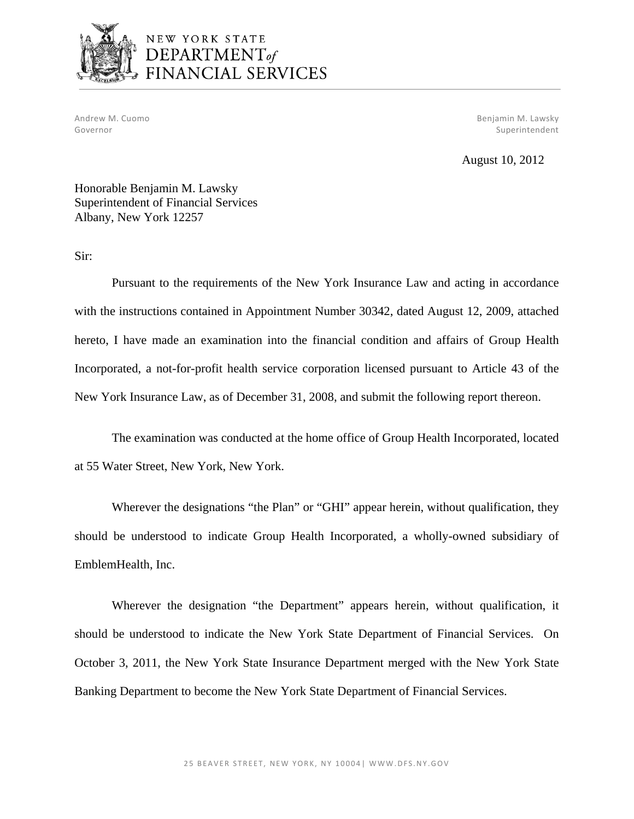

# NEW YORK STATE DEPARTMENT<sub>of</sub> FINANCIAL SERVICES

Andrew M. Cuomo Benjamin M. Lawsky Governor Superintendent Superintendent Superintendent Superintendent Superintendent Superintendent Superintendent

August 10, 2012

Honorable Benjamin M. Lawsky Superintendent of Financial Services Albany, New York 12257

Sir:

Pursuant to the requirements of the New York Insurance Law and acting in accordance with the instructions contained in Appointment Number 30342, dated August 12, 2009, attached hereto, I have made an examination into the financial condition and affairs of Group Health Incorporated, a not-for-profit health service corporation licensed pursuant to Article 43 of the New York Insurance Law, as of December 31, 2008, and submit the following report thereon.

The examination was conducted at the home office of Group Health Incorporated, located at 55 Water Street, New York, New York.

Wherever the designations "the Plan" or "GHI" appear herein, without qualification, they should be understood to indicate Group Health Incorporated, a wholly-owned subsidiary of EmblemHealth, Inc.

Wherever the designation "the Department" appears herein, without qualification, it should be understood to indicate the New York State Department of Financial Services. On October 3, 2011, the New York State Insurance Department merged with the New York State Banking Department to become the New York State Department of Financial Services.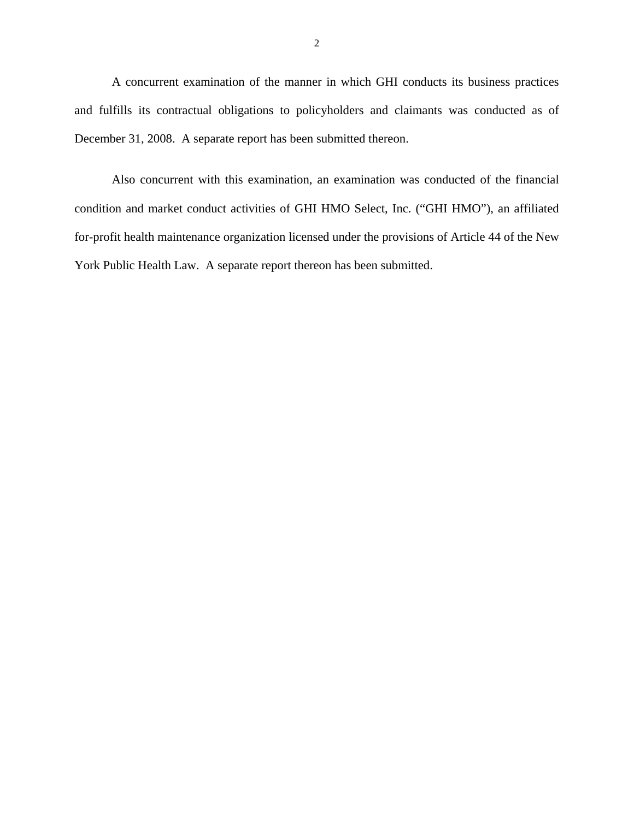A concurrent examination of the manner in which GHI conducts its business practices and fulfills its contractual obligations to policyholders and claimants was conducted as of December 31, 2008. A separate report has been submitted thereon.

Also concurrent with this examination, an examination was conducted of the financial condition and market conduct activities of GHI HMO Select, Inc. ("GHI HMO"), an affiliated for-profit health maintenance organization licensed under the provisions of Article 44 of the New York Public Health Law. A separate report thereon has been submitted.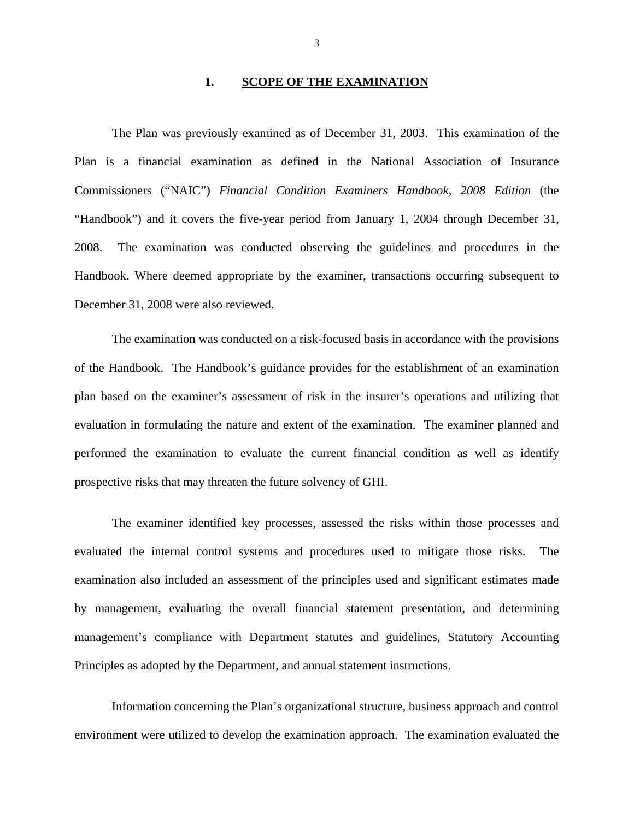### **1. SCOPE OF THE EXAMINATION**

The Plan was previously examined as of December 31, 2003. This examination of the Plan is a financial examination as defined in the National Association of Insurance Commissioners ("NAIC") *Financial Condition Examiners Handbook, 2008 Edition* (the "Handbook") and it covers the five-year period from January 1, 2004 through December 31, 2008. The examination was conducted observing the guidelines and procedures in the Handbook. Where deemed appropriate by the examiner, transactions occurring subsequent to December 31, 2008 were also reviewed.

The examination was conducted on a risk-focused basis in accordance with the provisions of the Handbook. The Handbook's guidance provides for the establishment of an examination plan based on the examiner's assessment of risk in the insurer's operations and utilizing that evaluation in formulating the nature and extent of the examination. The examiner planned and performed the examination to evaluate the current financial condition as well as identify prospective risks that may threaten the future solvency of GHI.

The examiner identified key processes, assessed the risks within those processes and evaluated the internal control systems and procedures used to mitigate those risks. The examination also included an assessment of the principles used and significant estimates made by management, evaluating the overall financial statement presentation, and determining management's compliance with Department statutes and guidelines, Statutory Accounting Principles as adopted by the Department, and annual statement instructions.

Information concerning the Plan's organizational structure, business approach and control environment were utilized to develop the examination approach. The examination evaluated the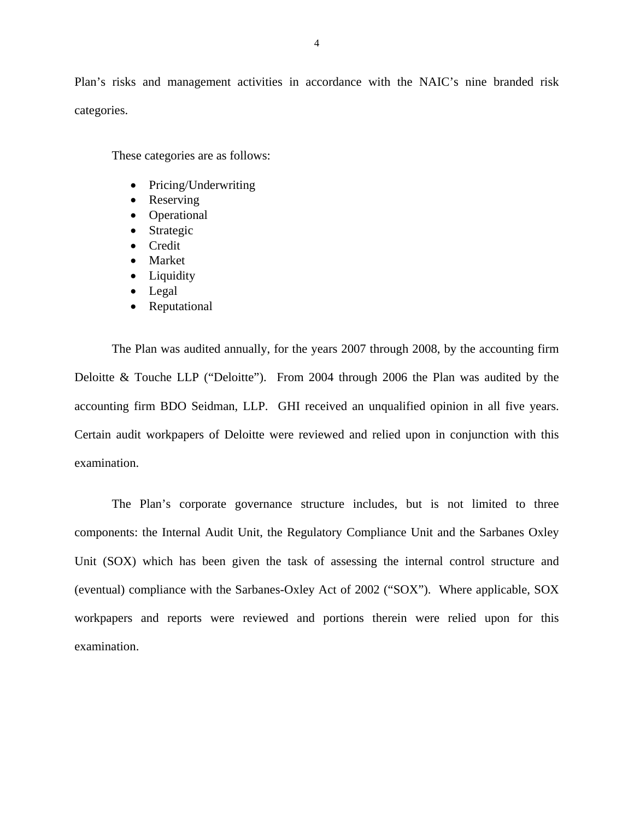Plan's risks and management activities in accordance with the NAIC's nine branded risk categories.

These categories are as follows:

- Pricing/Underwriting
- Reserving
- Operational
- Strategic
- Credit
- Market
- Liquidity
- Legal
- Reputational

The Plan was audited annually, for the years 2007 through 2008, by the accounting firm Deloitte & Touche LLP ("Deloitte"). From 2004 through 2006 the Plan was audited by the accounting firm BDO Seidman, LLP. GHI received an unqualified opinion in all five years. Certain audit workpapers of Deloitte were reviewed and relied upon in conjunction with this examination.

The Plan's corporate governance structure includes, but is not limited to three components: the Internal Audit Unit, the Regulatory Compliance Unit and the Sarbanes Oxley Unit (SOX) which has been given the task of assessing the internal control structure and (eventual) compliance with the Sarbanes-Oxley Act of 2002 ("SOX"). Where applicable, SOX workpapers and reports were reviewed and portions therein were relied upon for this examination.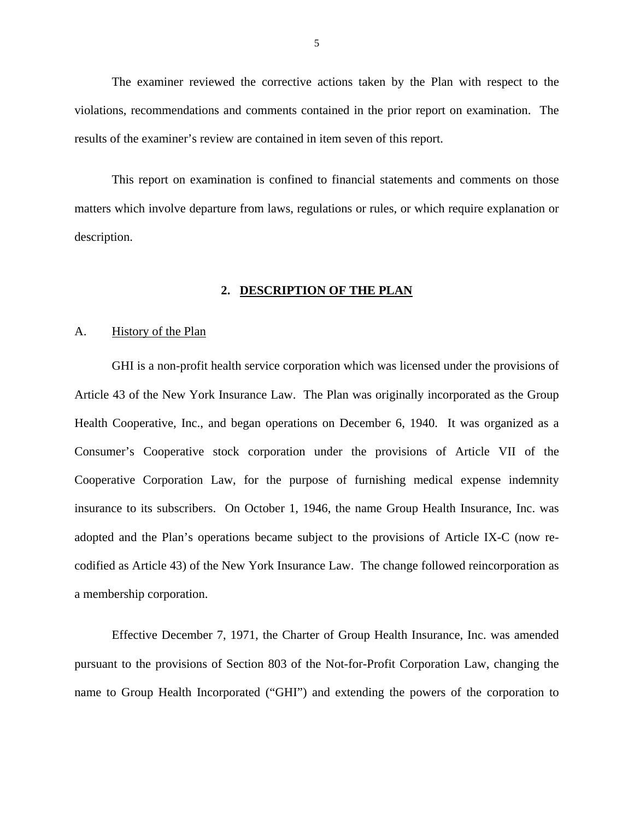<span id="page-6-0"></span>The examiner reviewed the corrective actions taken by the Plan with respect to the violations, recommendations and comments contained in the prior report on examination. The results of the examiner's review are contained in item seven of this report.

This report on examination is confined to financial statements and comments on those matters which involve departure from laws, regulations or rules, or which require explanation or description.

### **2. DESCRIPTION OF THE PLAN**

### A. History of the Plan

GHI is a non-profit health service corporation which was licensed under the provisions of Article 43 of the New York Insurance Law. The Plan was originally incorporated as the Group Health Cooperative, Inc., and began operations on December 6, 1940. It was organized as a Consumer's Cooperative stock corporation under the provisions of Article VII of the Cooperative Corporation Law, for the purpose of furnishing medical expense indemnity insurance to its subscribers. On October 1, 1946, the name Group Health Insurance, Inc. was adopted and the Plan's operations became subject to the provisions of Article IX-C (now recodified as Article 43) of the New York Insurance Law. The change followed reincorporation as a membership corporation.

Effective December 7, 1971, the Charter of Group Health Insurance, Inc. was amended pursuant to the provisions of Section 803 of the Not-for-Profit Corporation Law, changing the name to Group Health Incorporated ("GHI") and extending the powers of the corporation to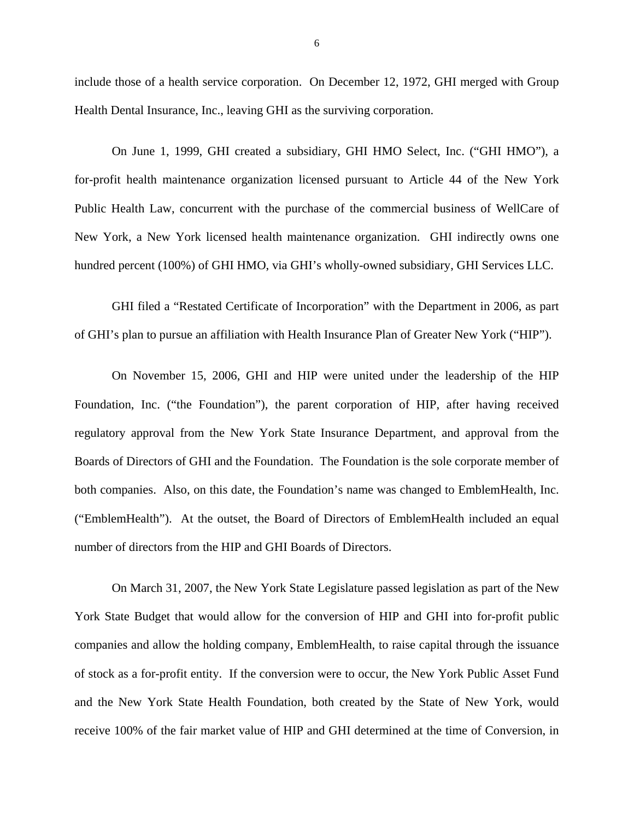include those of a health service corporation. On December 12, 1972, GHI merged with Group Health Dental Insurance, Inc., leaving GHI as the surviving corporation.

On June 1, 1999, GHI created a subsidiary, GHI HMO Select, Inc. ("GHI HMO"), a for-profit health maintenance organization licensed pursuant to Article 44 of the New York Public Health Law, concurrent with the purchase of the commercial business of WellCare of New York, a New York licensed health maintenance organization. GHI indirectly owns one hundred percent (100%) of GHI HMO, via GHI's wholly-owned subsidiary, GHI Services LLC.

GHI filed a "Restated Certificate of Incorporation" with the Department in 2006, as part of GHI's plan to pursue an affiliation with Health Insurance Plan of Greater New York ("HIP").

On November 15, 2006, GHI and HIP were united under the leadership of the HIP Foundation, Inc. ("the Foundation"), the parent corporation of HIP, after having received regulatory approval from the New York State Insurance Department, and approval from the Boards of Directors of GHI and the Foundation. The Foundation is the sole corporate member of both companies. Also, on this date, the Foundation's name was changed to EmblemHealth, Inc. ("EmblemHealth"). At the outset, the Board of Directors of EmblemHealth included an equal number of directors from the HIP and GHI Boards of Directors.

On March 31, 2007, the New York State Legislature passed legislation as part of the New York State Budget that would allow for the conversion of HIP and GHI into for-profit public companies and allow the holding company, EmblemHealth, to raise capital through the issuance of stock as a for-profit entity. If the conversion were to occur, the New York Public Asset Fund and the New York State Health Foundation, both created by the State of New York, would receive 100% of the fair market value of HIP and GHI determined at the time of Conversion, in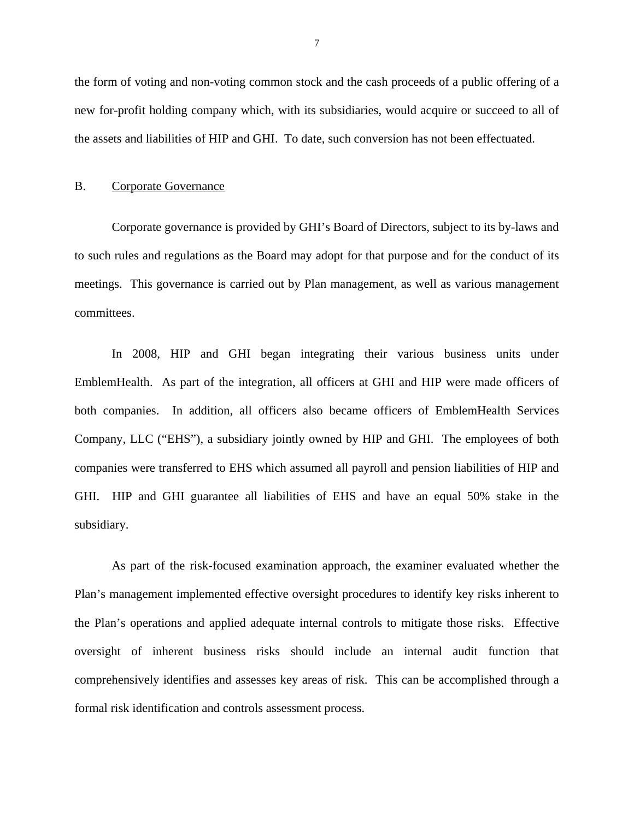<span id="page-8-0"></span>the form of voting and non-voting common stock and the cash proceeds of a public offering of a new for-profit holding company which, with its subsidiaries, would acquire or succeed to all of the assets and liabilities of HIP and GHI. To date, such conversion has not been effectuated.

### B. Corporate Governance

Corporate governance is provided by GHI's Board of Directors, subject to its by-laws and to such rules and regulations as the Board may adopt for that purpose and for the conduct of its meetings. This governance is carried out by Plan management, as well as various management committees.

In 2008, HIP and GHI began integrating their various business units under EmblemHealth. As part of the integration, all officers at GHI and HIP were made officers of both companies. In addition, all officers also became officers of EmblemHealth Services Company, LLC ("EHS"), a subsidiary jointly owned by HIP and GHI. The employees of both companies were transferred to EHS which assumed all payroll and pension liabilities of HIP and GHI. HIP and GHI guarantee all liabilities of EHS and have an equal 50% stake in the subsidiary.

As part of the risk-focused examination approach, the examiner evaluated whether the Plan's management implemented effective oversight procedures to identify key risks inherent to the Plan's operations and applied adequate internal controls to mitigate those risks. Effective oversight of inherent business risks should include an internal audit function that comprehensively identifies and assesses key areas of risk. This can be accomplished through a formal risk identification and controls assessment process.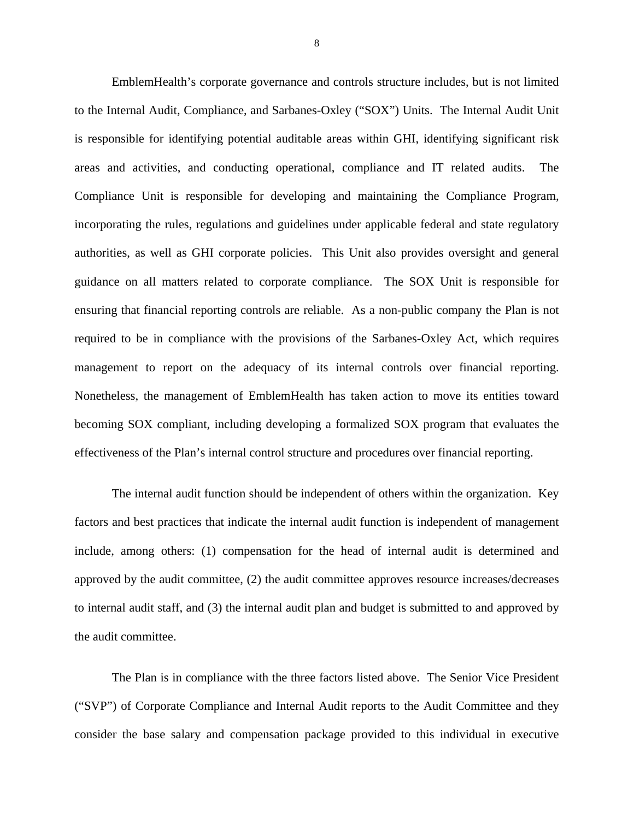management to report on the adequacy of its internal controls over financial reporting. Nonetheless, the management of EmblemHealth has taken action to move its entities toward EmblemHealth's corporate governance and controls structure includes, but is not limited to the Internal Audit, Compliance, and Sarbanes-Oxley ("SOX") Units. The Internal Audit Unit is responsible for identifying potential auditable areas within GHI, identifying significant risk areas and activities, and conducting operational, compliance and IT related audits. The Compliance Unit is responsible for developing and maintaining the Compliance Program, incorporating the rules, regulations and guidelines under applicable federal and state regulatory authorities, as well as GHI corporate policies. This Unit also provides oversight and general guidance on all matters related to corporate compliance. The SOX Unit is responsible for ensuring that financial reporting controls are reliable. As a non-public company the Plan is not required to be in compliance with the provisions of the Sarbanes-Oxley Act, which requires becoming SOX compliant, including developing a formalized SOX program that evaluates the effectiveness of the Plan's internal control structure and procedures over financial reporting.

The internal audit function should be independent of others within the organization. Key factors and best practices that indicate the internal audit function is independent of management include, among others: (1) compensation for the head of internal audit is determined and approved by the audit committee, (2) the audit committee approves resource increases/decreases to internal audit staff, and (3) the internal audit plan and budget is submitted to and approved by the audit committee.

The Plan is in compliance with the three factors listed above. The Senior Vice President ("SVP") of Corporate Compliance and Internal Audit reports to the Audit Committee and they consider the base salary and compensation package provided to this individual in executive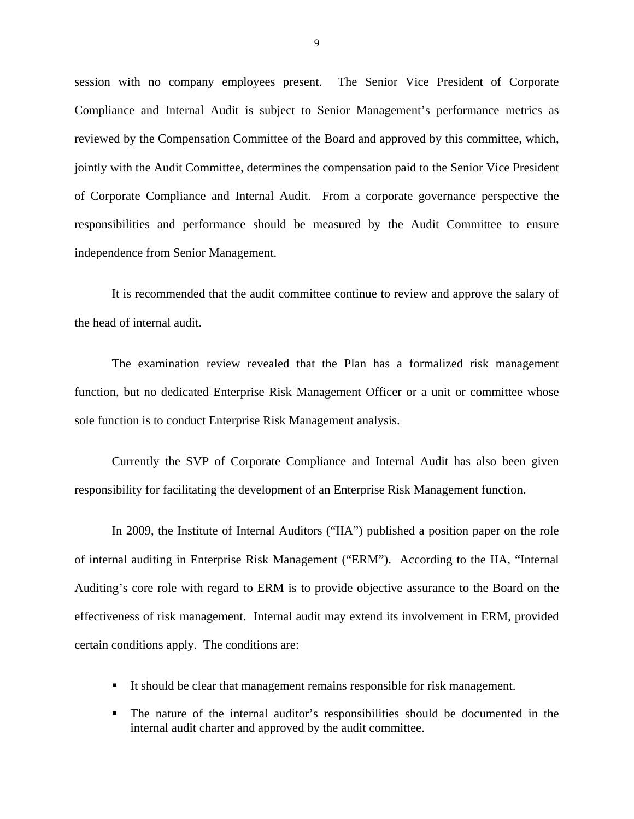session with no company employees present. The Senior Vice President of Corporate Compliance and Internal Audit is subject to Senior Management's performance metrics as reviewed by the Compensation Committee of the Board and approved by this committee, which, jointly with the Audit Committee, determines the compensation paid to the Senior Vice President of Corporate Compliance and Internal Audit. From a corporate governance perspective the responsibilities and performance should be measured by the Audit Committee to ensure independence from Senior Management.

It is recommended that the audit committee continue to review and approve the salary of the head of internal audit.

The examination review revealed that the Plan has a formalized risk management function, but no dedicated Enterprise Risk Management Officer or a unit or committee whose sole function is to conduct Enterprise Risk Management analysis.

Currently the SVP of Corporate Compliance and Internal Audit has also been given responsibility for facilitating the development of an Enterprise Risk Management function.

In 2009, the Institute of Internal Auditors ("IIA") published a position paper on the role of internal auditing in Enterprise Risk Management ("ERM"). According to the IIA, "Internal Auditing's core role with regard to ERM is to provide objective assurance to the Board on the effectiveness of risk management. Internal audit may extend its involvement in ERM, provided certain conditions apply. The conditions are:

- It should be clear that management remains responsible for risk management.
- The nature of the internal auditor's responsibilities should be documented in the internal audit charter and approved by the audit committee.

9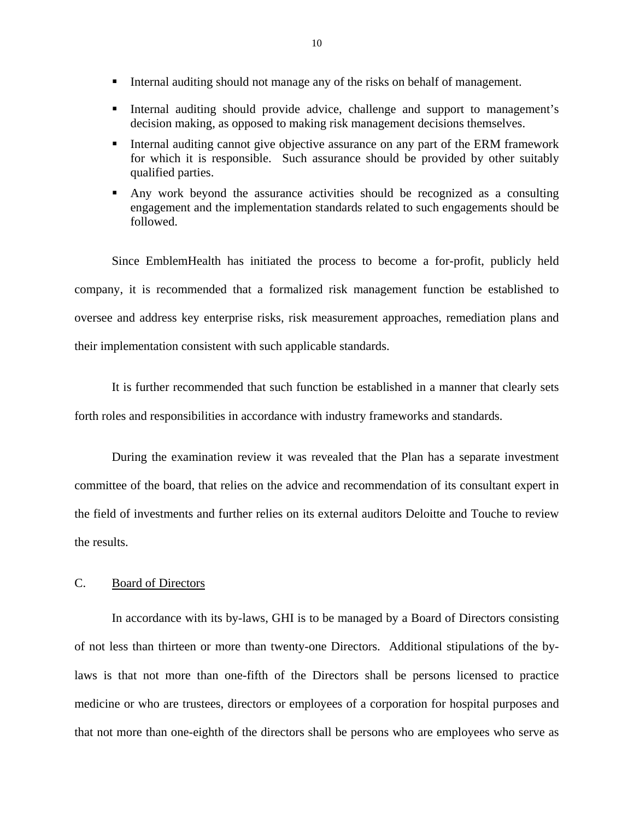- <span id="page-11-0"></span>Internal auditing should not manage any of the risks on behalf of management.
- Internal auditing should provide advice, challenge and support to management's decision making, as opposed to making risk management decisions themselves.
- Internal auditing cannot give objective assurance on any part of the ERM framework for which it is responsible. Such assurance should be provided by other suitably qualified parties.
- Any work beyond the assurance activities should be recognized as a consulting engagement and the implementation standards related to such engagements should be followed.

Since EmblemHealth has initiated the process to become a for-profit, publicly held company, it is recommended that a formalized risk management function be established to oversee and address key enterprise risks, risk measurement approaches, remediation plans and their implementation consistent with such applicable standards.

It is further recommended that such function be established in a manner that clearly sets forth roles and responsibilities in accordance with industry frameworks and standards.

During the examination review it was revealed that the Plan has a separate investment committee of the board, that relies on the advice and recommendation of its consultant expert in the field of investments and further relies on its external auditors Deloitte and Touche to review the results.

### C. Board of Directors

In accordance with its by-laws, GHI is to be managed by a Board of Directors consisting of not less than thirteen or more than twenty-one Directors. Additional stipulations of the bylaws is that not more than one-fifth of the Directors shall be persons licensed to practice medicine or who are trustees, directors or employees of a corporation for hospital purposes and that not more than one-eighth of the directors shall be persons who are employees who serve as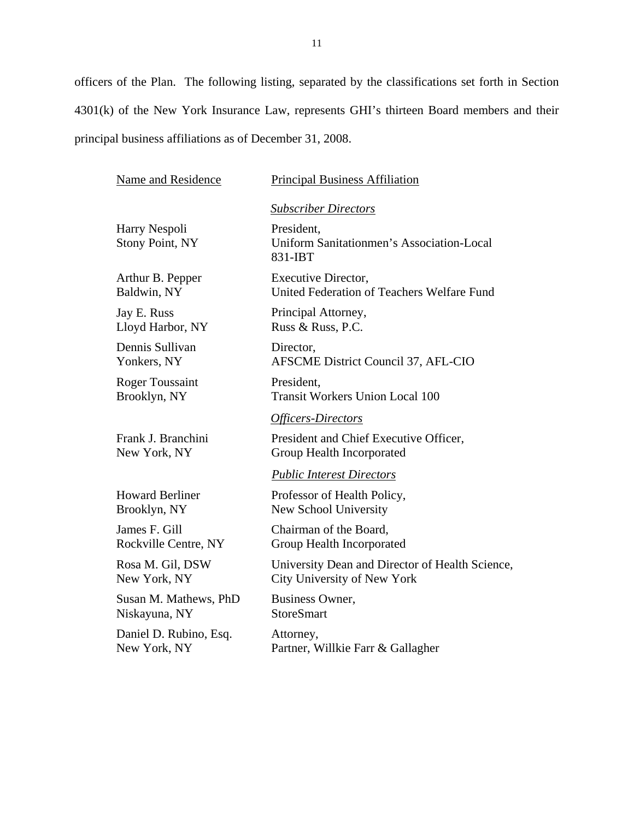officers of the Plan. The following listing, separated by the classifications set forth in Section 4301(k) of the New York Insurance Law, represents GHI's thirteen Board members and their principal business affiliations as of December 31, 2008.

| Name and Residence                      | <b>Principal Business Affiliation</b>                              |
|-----------------------------------------|--------------------------------------------------------------------|
|                                         | <b>Subscriber Directors</b>                                        |
| Harry Nespoli<br><b>Stony Point, NY</b> | President,<br>Uniform Sanitationmen's Association-Local<br>831-IBT |
| Arthur B. Pepper                        | Executive Director,                                                |
| Baldwin, NY                             | United Federation of Teachers Welfare Fund                         |
| Jay E. Russ                             | Principal Attorney,                                                |
| Lloyd Harbor, NY                        | Russ & Russ, P.C.                                                  |
| Dennis Sullivan                         | Director,                                                          |
| Yonkers, NY                             | AFSCME District Council 37, AFL-CIO                                |
| <b>Roger Toussaint</b>                  | President.                                                         |
| Brooklyn, NY                            | <b>Transit Workers Union Local 100</b>                             |
|                                         | Officers-Directors                                                 |
| Frank J. Branchini                      | President and Chief Executive Officer,                             |
| New York, NY                            | Group Health Incorporated                                          |
|                                         | <b>Public Interest Directors</b>                                   |
| <b>Howard Berliner</b>                  | Professor of Health Policy,                                        |
| Brooklyn, NY                            | New School University                                              |
| James F. Gill                           | Chairman of the Board,                                             |
| Rockville Centre, NY                    | Group Health Incorporated                                          |
| Rosa M. Gil, DSW                        | University Dean and Director of Health Science,                    |
| New York, NY                            | City University of New York                                        |
| Susan M. Mathews, PhD                   | Business Owner,                                                    |
| Niskayuna, NY                           | <b>StoreSmart</b>                                                  |
| Daniel D. Rubino, Esq.                  | Attorney,                                                          |
| New York, NY                            | Partner, Willkie Farr & Gallagher                                  |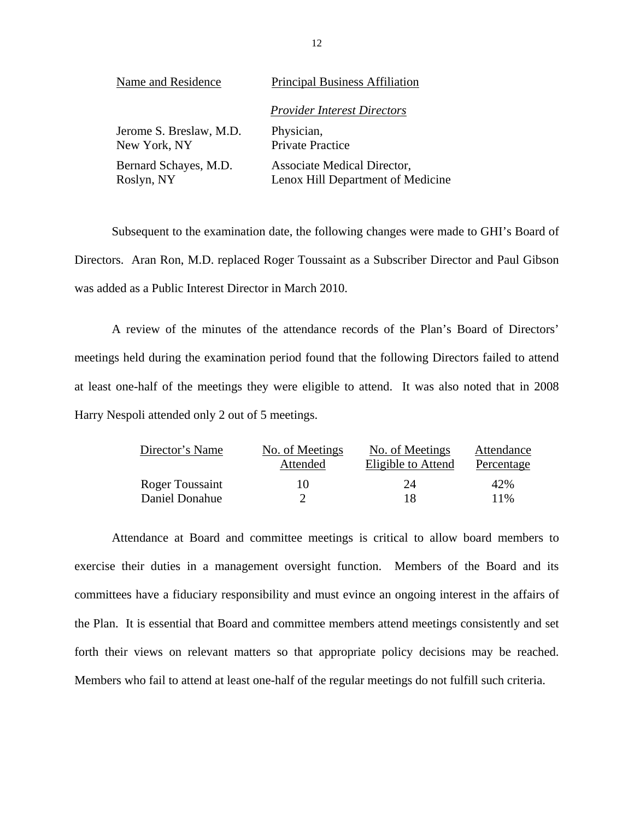| Name and Residence      | <b>Principal Business Affiliation</b> |  |  |  |
|-------------------------|---------------------------------------|--|--|--|
|                         | <b>Provider Interest Directors</b>    |  |  |  |
| Jerome S. Breslaw, M.D. | Physician,                            |  |  |  |
| New York, NY            | <b>Private Practice</b>               |  |  |  |
| Bernard Schayes, M.D.   | Associate Medical Director,           |  |  |  |
| Roslyn, NY              | Lenox Hill Department of Medicine     |  |  |  |

Subsequent to the examination date, the following changes were made to GHI's Board of Directors. Aran Ron, M.D. replaced Roger Toussaint as a Subscriber Director and Paul Gibson was added as a Public Interest Director in March 2010.

A review of the minutes of the attendance records of the Plan's Board of Directors' meetings held during the examination period found that the following Directors failed to attend at least one-half of the meetings they were eligible to attend. It was also noted that in 2008 Harry Nespoli attended only 2 out of 5 meetings.

| Director's Name | No. of Meetings | No. of Meetings    | Attendance |
|-----------------|-----------------|--------------------|------------|
|                 | Attended        | Eligible to Attend | Percentage |
| Roger Toussaint | 10              | 24                 | 42%        |
| Daniel Donahue  |                 | 18                 | 11%        |

Attendance at Board and committee meetings is critical to allow board members to exercise their duties in a management oversight function. Members of the Board and its committees have a fiduciary responsibility and must evince an ongoing interest in the affairs of the Plan. It is essential that Board and committee members attend meetings consistently and set forth their views on relevant matters so that appropriate policy decisions may be reached. Members who fail to attend at least one-half of the regular meetings do not fulfill such criteria.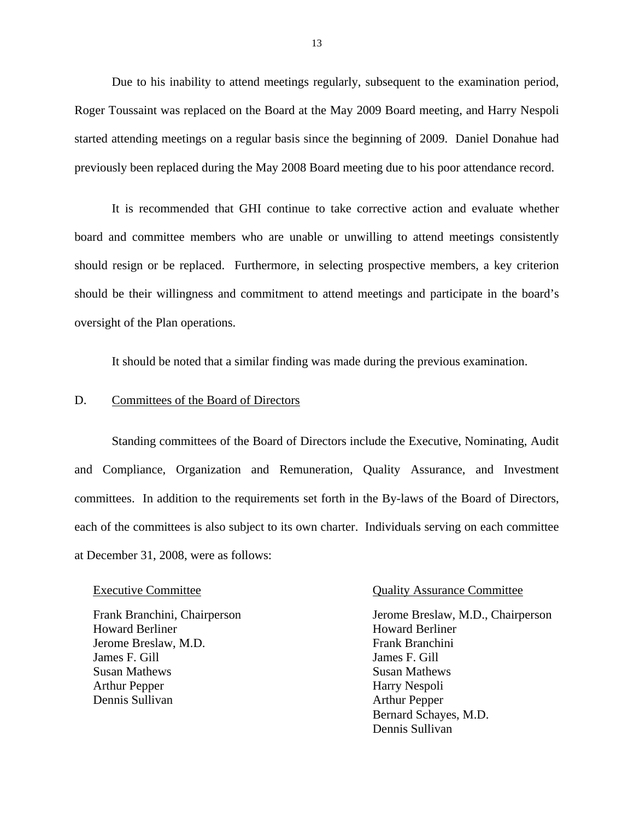<span id="page-14-0"></span>Due to his inability to attend meetings regularly, subsequent to the examination period, Roger Toussaint was replaced on the Board at the May 2009 Board meeting, and Harry Nespoli started attending meetings on a regular basis since the beginning of 2009. Daniel Donahue had previously been replaced during the May 2008 Board meeting due to his poor attendance record.

It is recommended that GHI continue to take corrective action and evaluate whether board and committee members who are unable or unwilling to attend meetings consistently should resign or be replaced. Furthermore, in selecting prospective members, a key criterion should be their willingness and commitment to attend meetings and participate in the board's oversight of the Plan operations.

It should be noted that a similar finding was made during the previous examination.

### D. Committees of the Board of Directors

Standing committees of the Board of Directors include the Executive, Nominating, Audit and Compliance, Organization and Remuneration, Quality Assurance, and Investment committees. In addition to the requirements set forth in the By-laws of the Board of Directors, each of the committees is also subject to its own charter. Individuals serving on each committee at December 31, 2008, were as follows:

Frank Branchini, Chairperson Howard Berliner Howard Berliner Jerome Breslaw, M.D. Frank Branchini James F. Gill James F. Gill Susan Mathews Susan Mathews Arthur Pepper Harry Nespoli Dennis Sullivan Arthur Pepper

### Executive Committee **Committee** Quality Assurance Committee

 Bernard Schayes, M.D. Dennis Sullivan Jerome Breslaw, M.D., Chairperson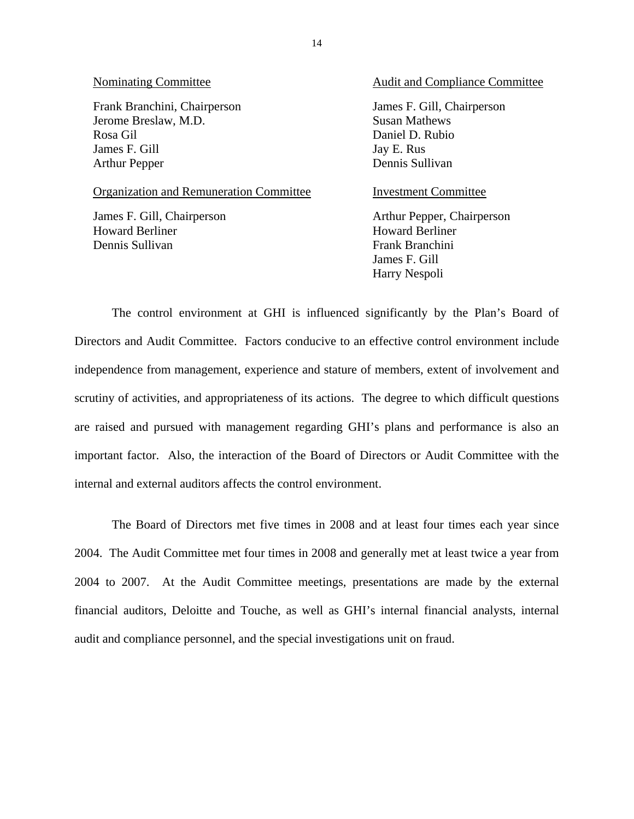Frank Branchini, Chairperson Jerome Breslaw, M.D. Rosa Gil James F. Gill Arthur Pepper

### Organization and Remuneration Committee **Investment Committee**

James F. Gill, Chairperson Howard Berliner Dennis Sullivan

### Nominating Committee Audit and Compliance Committee

James F. Gill, Chairperson Susan Mathews Daniel D. Rubio Jay E. Rus Dennis Sullivan

 James F. Gill Harry Nespoli Arthur Pepper, Chairperson Howard Berliner Frank Branchini

The control environment at GHI is influenced significantly by the Plan's Board of Directors and Audit Committee. Factors conducive to an effective control environment include independence from management, experience and stature of members, extent of involvement and scrutiny of activities, and appropriateness of its actions. The degree to which difficult questions are raised and pursued with management regarding GHI's plans and performance is also an important factor. Also, the interaction of the Board of Directors or Audit Committee with the internal and external auditors affects the control environment.

The Board of Directors met five times in 2008 and at least four times each year since 2004. The Audit Committee met four times in 2008 and generally met at least twice a year from 2004 to 2007. At the Audit Committee meetings, presentations are made by the external financial auditors, Deloitte and Touche, as well as GHI's internal financial analysts, internal audit and compliance personnel, and the special investigations unit on fraud.

14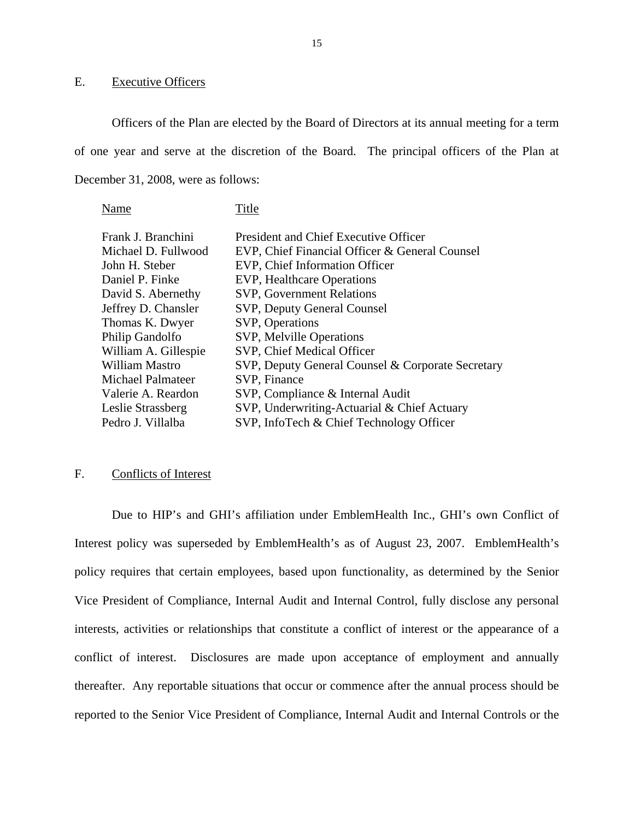### E. Executive Officers

Officers of the Plan are elected by the Board of Directors at its annual meeting for a term of one year and serve at the discretion of the Board. The principal officers of the Plan at December 31, 2008, were as follows:

Name Title

| <b>President and Chief Executive Officer</b>      |
|---------------------------------------------------|
| EVP, Chief Financial Officer & General Counsel    |
| EVP, Chief Information Officer                    |
| EVP, Healthcare Operations                        |
| <b>SVP, Government Relations</b>                  |
| SVP, Deputy General Counsel                       |
| SVP, Operations                                   |
| SVP, Melville Operations                          |
| SVP, Chief Medical Officer                        |
| SVP, Deputy General Counsel & Corporate Secretary |
| SVP, Finance                                      |
| SVP, Compliance & Internal Audit                  |
| SVP, Underwriting-Actuarial & Chief Actuary       |
| SVP, InfoTech & Chief Technology Officer          |
|                                                   |

### F. Conflicts of Interest

Due to HIP's and GHI's affiliation under EmblemHealth Inc., GHI's own Conflict of Interest policy was superseded by EmblemHealth's as of August 23, 2007. EmblemHealth's policy requires that certain employees, based upon functionality, as determined by the Senior Vice President of Compliance, Internal Audit and Internal Control, fully disclose any personal interests, activities or relationships that constitute a conflict of interest or the appearance of a conflict of interest. Disclosures are made upon acceptance of employment and annually thereafter. Any reportable situations that occur or commence after the annual process should be reported to the Senior Vice President of Compliance, Internal Audit and Internal Controls or the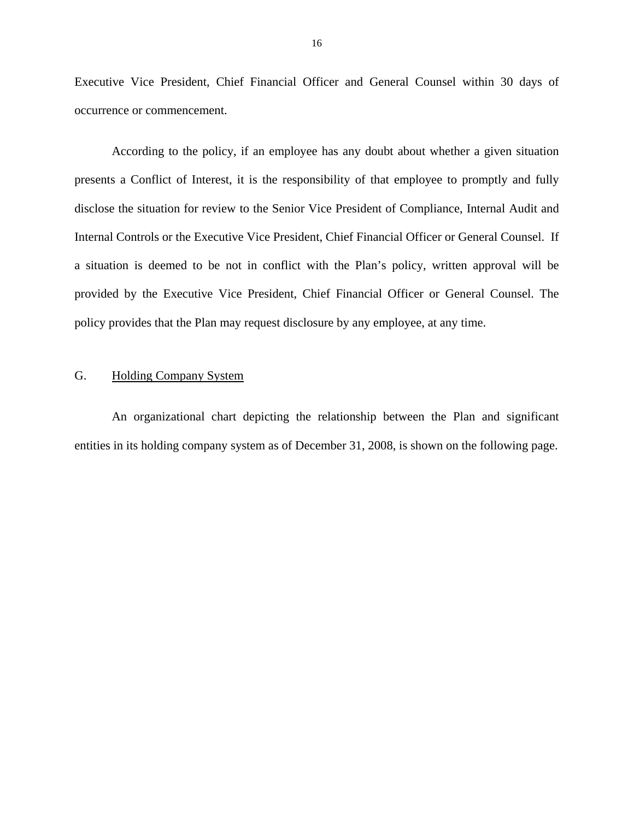<span id="page-17-0"></span>Executive Vice President, Chief Financial Officer and General Counsel within 30 days of occurrence or commencement.

According to the policy, if an employee has any doubt about whether a given situation presents a Conflict of Interest, it is the responsibility of that employee to promptly and fully disclose the situation for review to the Senior Vice President of Compliance, Internal Audit and Internal Controls or the Executive Vice President, Chief Financial Officer or General Counsel. If a situation is deemed to be not in conflict with the Plan's policy, written approval will be provided by the Executive Vice President, Chief Financial Officer or General Counsel. The policy provides that the Plan may request disclosure by any employee, at any time.

### G. Holding Company System

An organizational chart depicting the relationship between the Plan and significant entities in its holding company system as of December 31, 2008, is shown on the following page.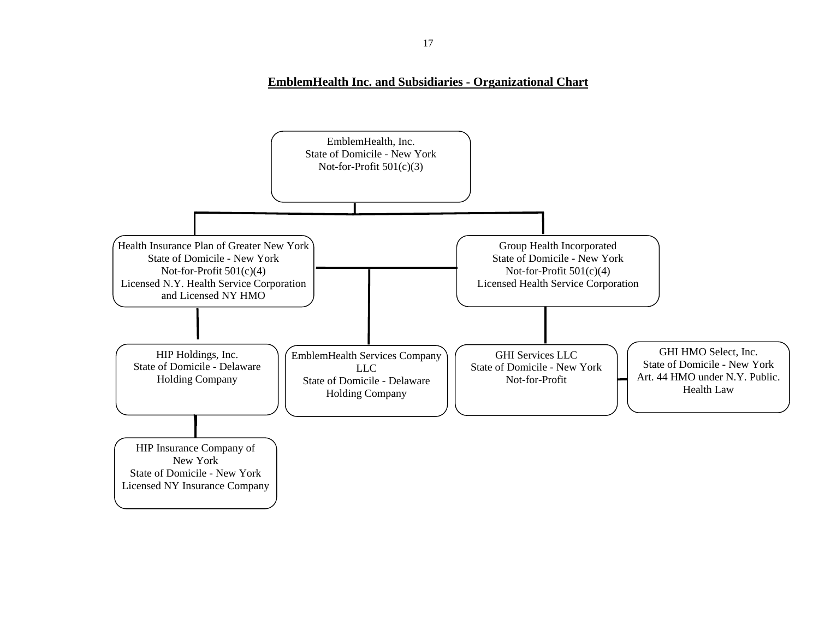### **EmblemHealth Inc. and Subsidiaries - Organizational Chart**

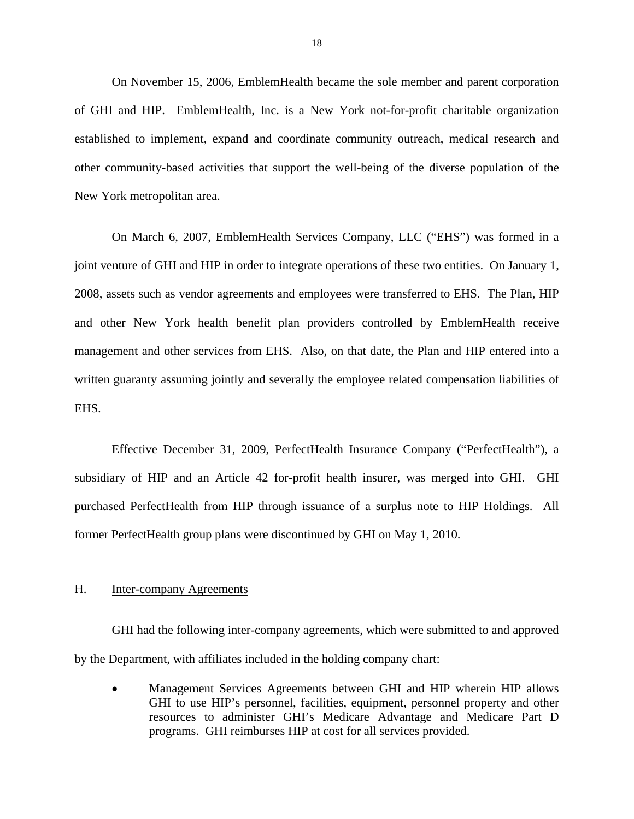<span id="page-19-0"></span>On November 15, 2006, EmblemHealth became the sole member and parent corporation of GHI and HIP. EmblemHealth, Inc. is a New York not-for-profit charitable organization established to implement, expand and coordinate community outreach, medical research and other community-based activities that support the well-being of the diverse population of the New York metropolitan area.

On March 6, 2007, EmblemHealth Services Company, LLC ("EHS") was formed in a joint venture of GHI and HIP in order to integrate operations of these two entities. On January 1, 2008, assets such as vendor agreements and employees were transferred to EHS. The Plan, HIP and other New York health benefit plan providers controlled by EmblemHealth receive management and other services from EHS. Also, on that date, the Plan and HIP entered into a written guaranty assuming jointly and severally the employee related compensation liabilities of EHS.

Effective December 31, 2009, PerfectHealth Insurance Company ("PerfectHealth"), a subsidiary of HIP and an Article 42 for-profit health insurer, was merged into GHI. GHI purchased PerfectHealth from HIP through issuance of a surplus note to HIP Holdings. All former PerfectHealth group plans were discontinued by GHI on May 1, 2010.

### H. Inter-company Agreements

GHI had the following inter-company agreements, which were submitted to and approved by the Department, with affiliates included in the holding company chart:

 Management Services Agreements between GHI and HIP wherein HIP allows GHI to use HIP's personnel, facilities, equipment, personnel property and other resources to administer GHI's Medicare Advantage and Medicare Part D programs. GHI reimburses HIP at cost for all services provided.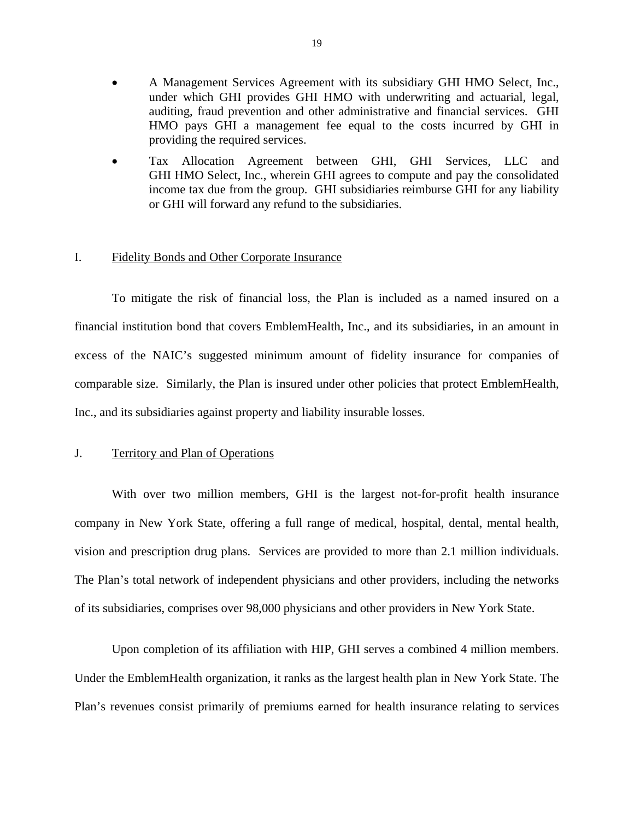- <span id="page-20-0"></span> A Management Services Agreement with its subsidiary GHI HMO Select, Inc., under which GHI provides GHI HMO with underwriting and actuarial, legal, auditing, fraud prevention and other administrative and financial services. GHI HMO pays GHI a management fee equal to the costs incurred by GHI in providing the required services.
- Tax Allocation Agreement between GHI, GHI Services, LLC and GHI HMO Select, Inc., wherein GHI agrees to compute and pay the consolidated income tax due from the group. GHI subsidiaries reimburse GHI for any liability or GHI will forward any refund to the subsidiaries.

### I. Fidelity Bonds and Other Corporate Insurance

To mitigate the risk of financial loss, the Plan is included as a named insured on a financial institution bond that covers EmblemHealth, Inc., and its subsidiaries, in an amount in excess of the NAIC's suggested minimum amount of fidelity insurance for companies of comparable size. Similarly, the Plan is insured under other policies that protect EmblemHealth, Inc., and its subsidiaries against property and liability insurable losses.

### J. Territory and Plan of Operations

vision and prescription drug plans. Services are provided to more than 2.1 million individuals. With over two million members, GHI is the largest not-for-profit health insurance company in New York State, offering a full range of medical, hospital, dental, mental health, The Plan's total network of independent physicians and other providers, including the networks of its subsidiaries, comprises over 98,000 physicians and other providers in New York State.

Upon completion of its affiliation with HIP, GHI serves a combined 4 million members. Under the EmblemHealth organization, it ranks as the largest health plan in New York State. The Plan's revenues consist primarily of premiums earned for health insurance relating to services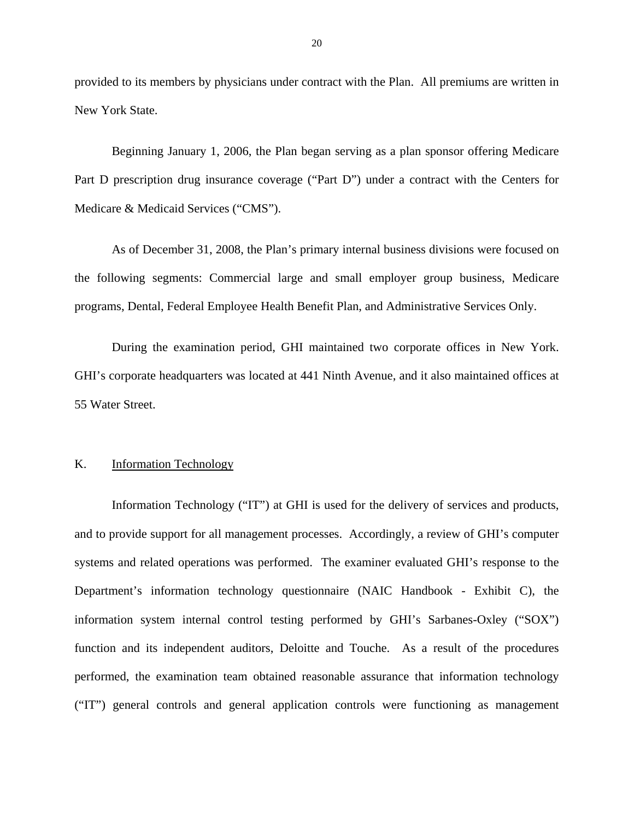<span id="page-21-0"></span>provided to its members by physicians under contract with the Plan. All premiums are written in New York State.

Beginning January 1, 2006, the Plan began serving as a plan sponsor offering Medicare Part D prescription drug insurance coverage ("Part D") under a contract with the Centers for Medicare & Medicaid Services ("CMS").

As of December 31, 2008, the Plan's primary internal business divisions were focused on the following segments: Commercial large and small employer group business, Medicare programs, Dental, Federal Employee Health Benefit Plan, and Administrative Services Only.

During the examination period, GHI maintained two corporate offices in New York. GHI's corporate headquarters was located at 441 Ninth Avenue, and it also maintained offices at 55 Water Street.

### K. Information Technology

Information Technology ("IT") at GHI is used for the delivery of services and products, and to provide support for all management processes. Accordingly, a review of GHI's computer systems and related operations was performed. The examiner evaluated GHI's response to the Department's information technology questionnaire (NAIC Handbook - Exhibit C), the information system internal control testing performed by GHI's Sarbanes-Oxley ("SOX") function and its independent auditors, Deloitte and Touche. As a result of the procedures performed, the examination team obtained reasonable assurance that information technology ("IT") general controls and general application controls were functioning as management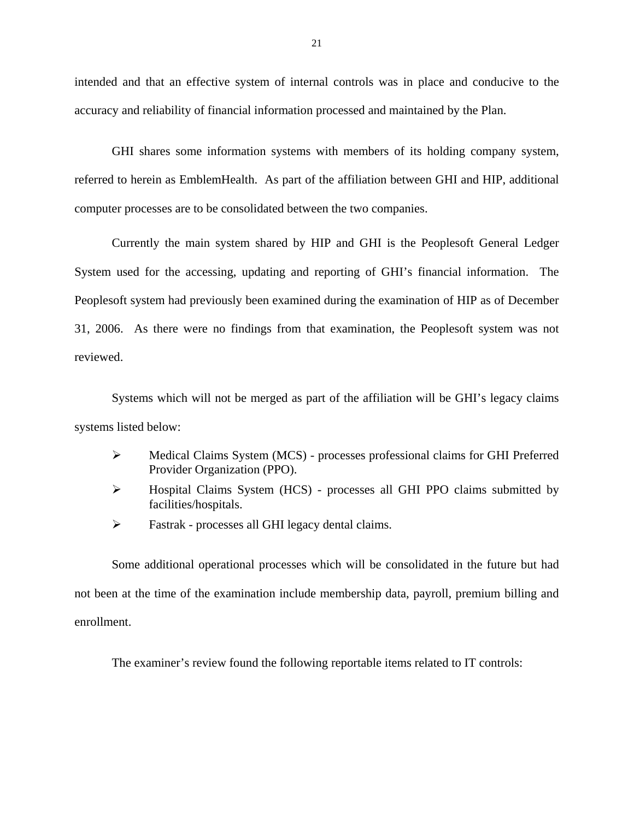intended and that an effective system of internal controls was in place and conducive to the accuracy and reliability of financial information processed and maintained by the Plan.

GHI shares some information systems with members of its holding company system, referred to herein as EmblemHealth. As part of the affiliation between GHI and HIP, additional computer processes are to be consolidated between the two companies.

Currently the main system shared by HIP and GHI is the Peoplesoft General Ledger System used for the accessing, updating and reporting of GHI's financial information. The Peoplesoft system had previously been examined during the examination of HIP as of December 31, 2006. As there were no findings from that examination, the Peoplesoft system was not reviewed.

Systems which will not be merged as part of the affiliation will be GHI's legacy claims systems listed below:

- Medical Claims System (MCS) processes professional claims for GHI Preferred Provider Organization (PPO).
- Hospital Claims System (HCS) processes all GHI PPO claims submitted by facilities/hospitals.
- $\triangleright$  Fastrak processes all GHI legacy dental claims.

Some additional operational processes which will be consolidated in the future but had not been at the time of the examination include membership data, payroll, premium billing and enrollment.

The examiner's review found the following reportable items related to IT controls: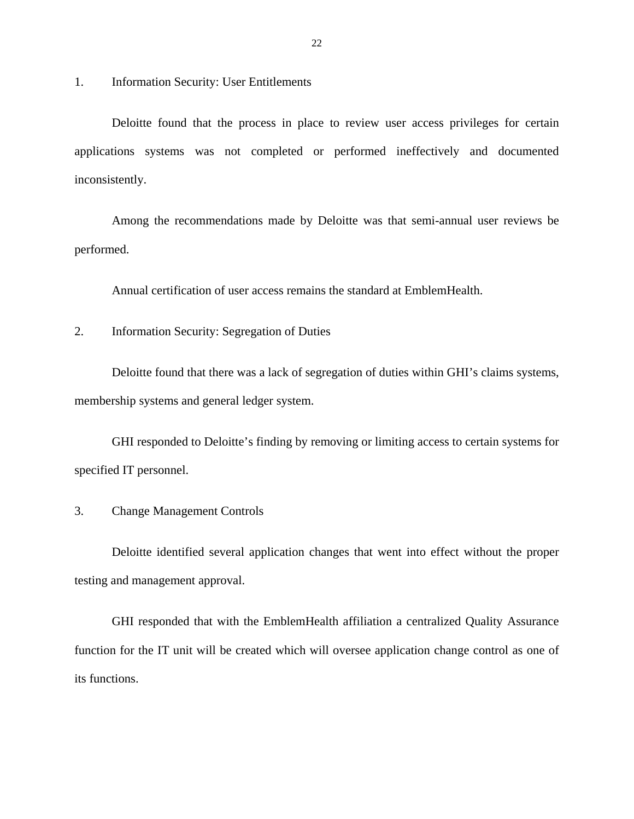1. Information Security: User Entitlements

Deloitte found that the process in place to review user access privileges for certain applications systems was not completed or performed ineffectively and documented inconsistently.

Among the recommendations made by Deloitte was that semi-annual user reviews be performed.

Annual certification of user access remains the standard at EmblemHealth.

2. Information Security: Segregation of Duties

Deloitte found that there was a lack of segregation of duties within GHI's claims systems, membership systems and general ledger system.

GHI responded to Deloitte's finding by removing or limiting access to certain systems for specified IT personnel.

3. Change Management Controls

Deloitte identified several application changes that went into effect without the proper testing and management approval.

GHI responded that with the EmblemHealth affiliation a centralized Quality Assurance function for the IT unit will be created which will oversee application change control as one of its functions.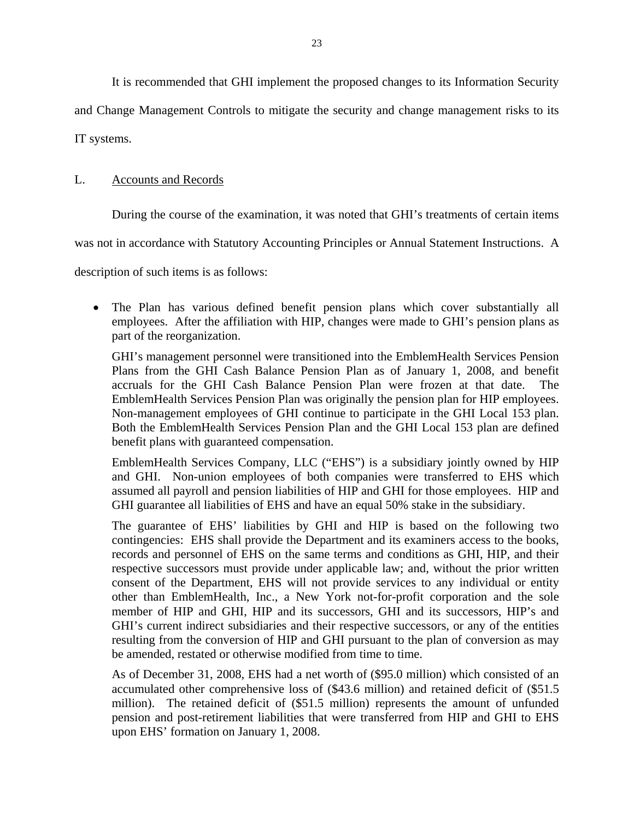It is recommended that GHI implement the proposed changes to its Information Security

<span id="page-24-0"></span>and Change Management Controls to mitigate the security and change management risks to its

IT systems.

### L. Accounts and Records

During the course of the examination, it was noted that GHI's treatments of certain items

was not in accordance with Statutory Accounting Principles or Annual Statement Instructions. A

description of such items is as follows:

 The Plan has various defined benefit pension plans which cover substantially all employees. After the affiliation with HIP, changes were made to GHI's pension plans as part of the reorganization.

GHI's management personnel were transitioned into the EmblemHealth Services Pension Plans from the GHI Cash Balance Pension Plan as of January 1, 2008, and benefit accruals for the GHI Cash Balance Pension Plan were frozen at that date. The EmblemHealth Services Pension Plan was originally the pension plan for HIP employees. Non-management employees of GHI continue to participate in the GHI Local 153 plan. Both the EmblemHealth Services Pension Plan and the GHI Local 153 plan are defined benefit plans with guaranteed compensation.

EmblemHealth Services Company, LLC ("EHS") is a subsidiary jointly owned by HIP and GHI. Non-union employees of both companies were transferred to EHS which assumed all payroll and pension liabilities of HIP and GHI for those employees. HIP and GHI guarantee all liabilities of EHS and have an equal 50% stake in the subsidiary.

The guarantee of EHS' liabilities by GHI and HIP is based on the following two contingencies: EHS shall provide the Department and its examiners access to the books, records and personnel of EHS on the same terms and conditions as GHI, HIP, and their respective successors must provide under applicable law; and, without the prior written consent of the Department, EHS will not provide services to any individual or entity other than EmblemHealth, Inc., a New York not-for-profit corporation and the sole member of HIP and GHI, HIP and its successors, GHI and its successors, HIP's and GHI's current indirect subsidiaries and their respective successors, or any of the entities resulting from the conversion of HIP and GHI pursuant to the plan of conversion as may be amended, restated or otherwise modified from time to time.

As of December 31, 2008, EHS had a net worth of (\$95.0 million) which consisted of an accumulated other comprehensive loss of (\$43.6 million) and retained deficit of (\$51.5 million). The retained deficit of (\$51.5 million) represents the amount of unfunded pension and post-retirement liabilities that were transferred from HIP and GHI to EHS upon EHS' formation on January 1, 2008.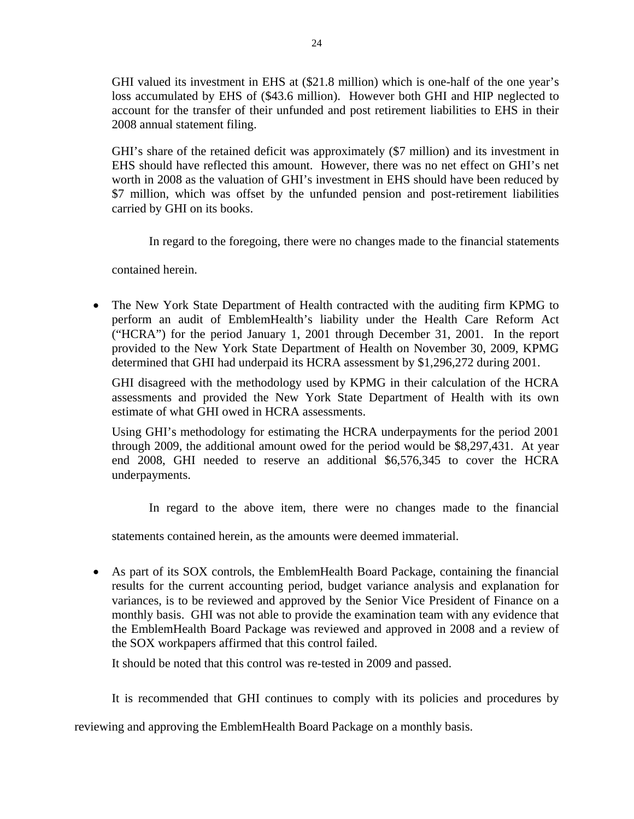GHI valued its investment in EHS at (\$21.8 million) which is one-half of the one year's loss accumulated by EHS of (\$43.6 million). However both GHI and HIP neglected to account for the transfer of their unfunded and post retirement liabilities to EHS in their 2008 annual statement filing.

GHI's share of the retained deficit was approximately (\$7 million) and its investment in EHS should have reflected this amount. However, there was no net effect on GHI's net worth in 2008 as the valuation of GHI's investment in EHS should have been reduced by \$7 million, which was offset by the unfunded pension and post-retirement liabilities carried by GHI on its books.

In regard to the foregoing, there were no changes made to the financial statements

contained herein.

 The New York State Department of Health contracted with the auditing firm KPMG to perform an audit of EmblemHealth's liability under the Health Care Reform Act ("HCRA") for the period January 1, 2001 through December 31, 2001. In the report provided to the New York State Department of Health on November 30, 2009, KPMG determined that GHI had underpaid its HCRA assessment by \$1,296,272 during 2001.

GHI disagreed with the methodology used by KPMG in their calculation of the HCRA assessments and provided the New York State Department of Health with its own estimate of what GHI owed in HCRA assessments.

Using GHI's methodology for estimating the HCRA underpayments for the period 2001 through 2009, the additional amount owed for the period would be \$8,297,431. At year end 2008, GHI needed to reserve an additional \$6,576,345 to cover the HCRA underpayments.

In regard to the above item, there were no changes made to the financial

statements contained herein, as the amounts were deemed immaterial.

 As part of its SOX controls, the EmblemHealth Board Package, containing the financial results for the current accounting period, budget variance analysis and explanation for variances, is to be reviewed and approved by the Senior Vice President of Finance on a monthly basis. GHI was not able to provide the examination team with any evidence that the EmblemHealth Board Package was reviewed and approved in 2008 and a review of the SOX workpapers affirmed that this control failed.

It should be noted that this control was re-tested in 2009 and passed.

It is recommended that GHI continues to comply with its policies and procedures by

reviewing and approving the EmblemHealth Board Package on a monthly basis.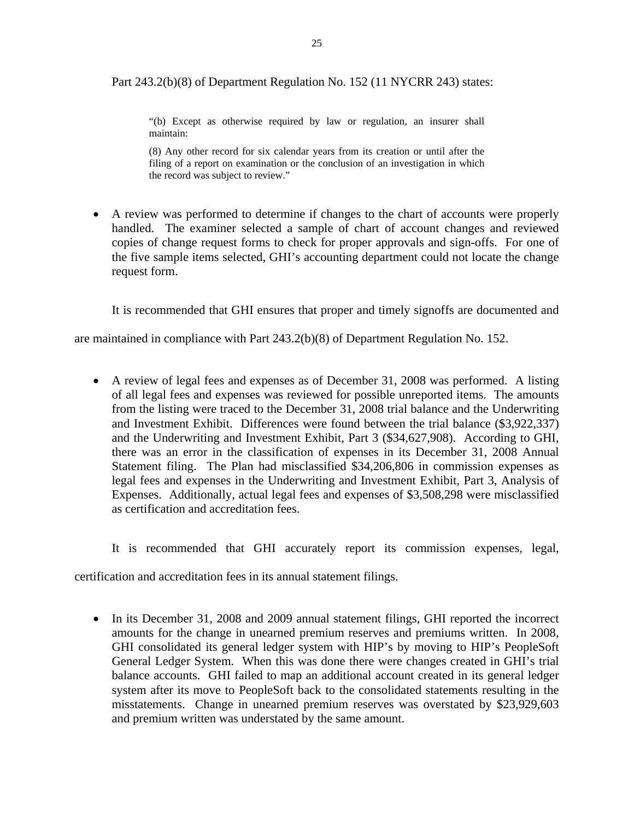Part 243.2(b)(8) of Department Regulation No. 152 (11 NYCRR 243) states:

"(b) Except as otherwise required by law or regulation, an insurer shall maintain:

(8) Any other record for six calendar years from its creation or until after the filing of a report on examination or the conclusion of an investigation in which the record was subject to review."

 A review was performed to determine if changes to the chart of accounts were properly handled. The examiner selected a sample of chart of account changes and reviewed copies of change request forms to check for proper approvals and sign-offs. For one of the five sample items selected, GHI's accounting department could not locate the change request form.

It is recommended that GHI ensures that proper and timely signoffs are documented and

are maintained in compliance with Part 243.2(b)(8) of Department Regulation No. 152.

 A review of legal fees and expenses as of December 31, 2008 was performed. A listing of all legal fees and expenses was reviewed for possible unreported items. The amounts from the listing were traced to the December 31, 2008 trial balance and the Underwriting and Investment Exhibit. Differences were found between the trial balance (\$3,922,337) and the Underwriting and Investment Exhibit, Part 3 (\$34,627,908). According to GHI, there was an error in the classification of expenses in its December 31, 2008 Annual Statement filing. The Plan had misclassified \$34,206,806 in commission expenses as legal fees and expenses in the Underwriting and Investment Exhibit, Part 3, Analysis of Expenses. Additionally, actual legal fees and expenses of \$3,508,298 were misclassified as certification and accreditation fees.

It is recommended that GHI accurately report its commission expenses, legal,

certification and accreditation fees in its annual statement filings.

• In its December 31, 2008 and 2009 annual statement filings, GHI reported the incorrect amounts for the change in unearned premium reserves and premiums written. In 2008, GHI consolidated its general ledger system with HIP's by moving to HIP's PeopleSoft General Ledger System. When this was done there were changes created in GHI's trial balance accounts. GHI failed to map an additional account created in its general ledger system after its move to PeopleSoft back to the consolidated statements resulting in the misstatements. Change in unearned premium reserves was overstated by \$23,929,603 and premium written was understated by the same amount.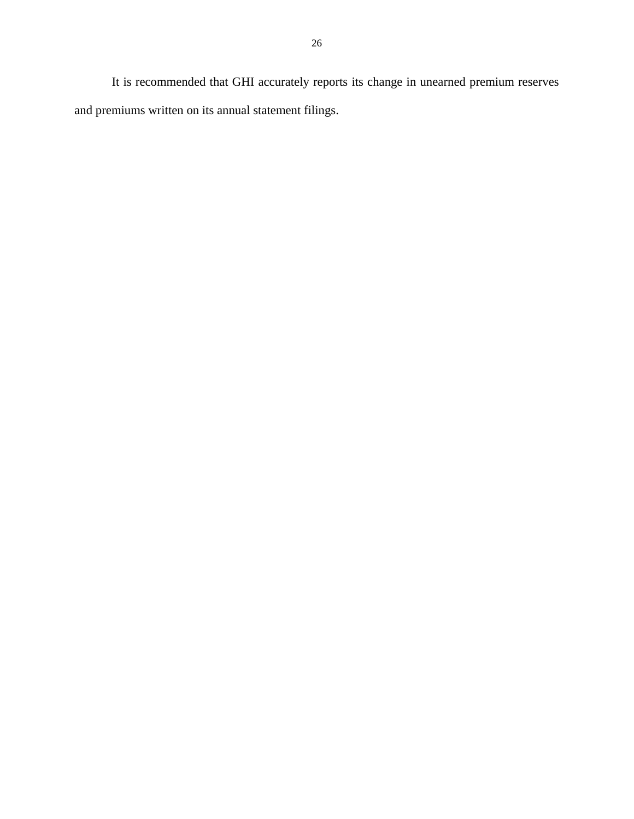It is recommended that GHI accurately reports its change in unearned premium reserves and premiums written on its annual statement filings.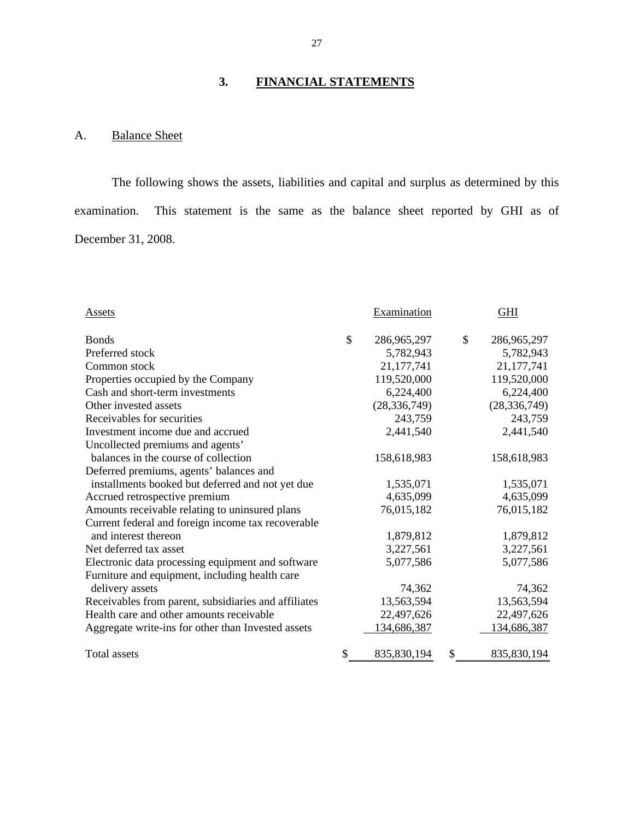# **3. FINANCIAL STATEMENTS**

# A. Balance Sheet

The following shows the assets, liabilities and capital and surplus as determined by this examination. This statement is the same as the balance sheet reported by GHI as of December 31, 2008.

| Assets                                               | Examination       | <b>GHI</b>        |
|------------------------------------------------------|-------------------|-------------------|
| <b>Bonds</b>                                         | \$<br>286,965,297 | \$<br>286,965,297 |
| Preferred stock                                      | 5,782,943         | 5,782,943         |
| Common stock                                         | 21,177,741        | 21, 177, 741      |
| Properties occupied by the Company                   | 119,520,000       | 119,520,000       |
| Cash and short-term investments                      | 6,224,400         | 6,224,400         |
| Other invested assets                                | (28, 336, 749)    | (28, 336, 749)    |
| Receivables for securities                           | 243,759           | 243,759           |
| Investment income due and accrued                    | 2,441,540         | 2,441,540         |
| Uncollected premiums and agents'                     |                   |                   |
| balances in the course of collection                 | 158,618,983       | 158,618,983       |
| Deferred premiums, agents' balances and              |                   |                   |
| installments booked but deferred and not yet due     | 1,535,071         | 1,535,071         |
| Accrued retrospective premium                        | 4,635,099         | 4,635,099         |
| Amounts receivable relating to uninsured plans       | 76,015,182        | 76,015,182        |
| Current federal and foreign income tax recoverable   |                   |                   |
| and interest thereon                                 | 1,879,812         | 1,879,812         |
| Net deferred tax asset                               | 3,227,561         | 3,227,561         |
| Electronic data processing equipment and software    | 5,077,586         | 5,077,586         |
| Furniture and equipment, including health care       |                   |                   |
| delivery assets                                      | 74,362            | 74,362            |
| Receivables from parent, subsidiaries and affiliates | 13,563,594        | 13,563,594        |
| Health care and other amounts receivable             | 22,497,626        | 22,497,626        |
| Aggregate write-ins for other than Invested assets   | 134,686,387       | 134,686,387       |
| Total assets                                         | \$<br>835,830,194 | \$<br>835,830,194 |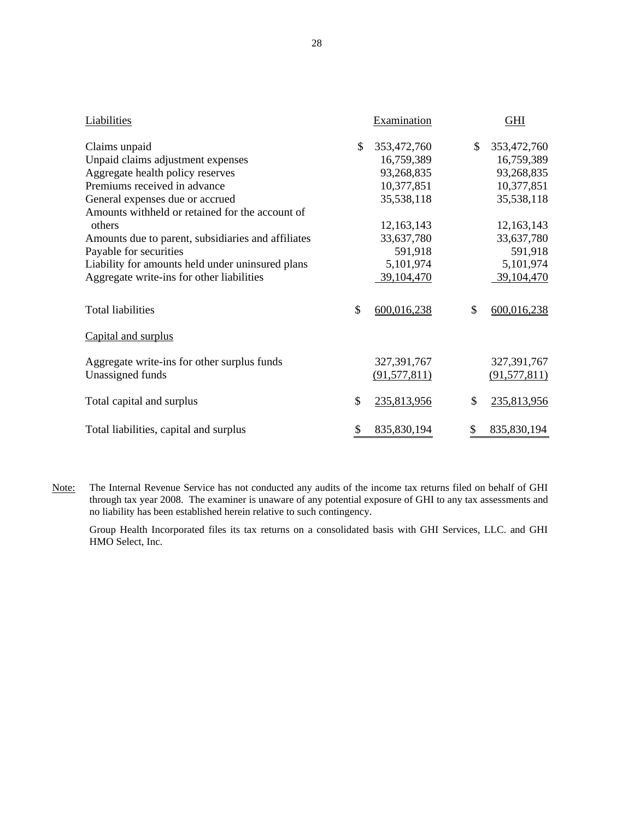| <b>Liabilities</b>                                 |    | Examination    | <b>GHI</b>        |
|----------------------------------------------------|----|----------------|-------------------|
| Claims unpaid                                      | \$ | 353,472,760    | \$<br>353,472,760 |
| Unpaid claims adjustment expenses                  |    | 16,759,389     | 16,759,389        |
| Aggregate health policy reserves                   |    | 93,268,835     | 93,268,835        |
| Premiums received in advance                       |    | 10,377,851     | 10,377,851        |
| General expenses due or accrued                    |    | 35,538,118     | 35,538,118        |
| Amounts withheld or retained for the account of    |    |                |                   |
| others                                             |    | 12,163,143     | 12,163,143        |
| Amounts due to parent, subsidiaries and affiliates |    | 33,637,780     | 33,637,780        |
| Payable for securities                             |    | 591,918        | 591,918           |
| Liability for amounts held under uninsured plans   |    | 5,101,974      | 5,101,974         |
| Aggregate write-ins for other liabilities          |    | 39,104,470     | 39,104,470        |
| <b>Total liabilities</b>                           | \$ | 600,016,238    | \$<br>600,016,238 |
| Capital and surplus                                |    |                |                   |
| Aggregate write-ins for other surplus funds        |    | 327, 391, 767  | 327, 391, 767     |
| Unassigned funds                                   |    | (91, 577, 811) | (91, 577, 811)    |
| Total capital and surplus                          | \$ | 235,813,956    | \$<br>235,813,956 |
| Total liabilities, capital and surplus             | \$ | 835,830,194    | \$<br>835,830,194 |

Note: The Internal Revenue Service has not conducted any audits of the income tax returns filed on behalf of GHI through tax year 2008. The examiner is unaware of any potential exposure of GHI to any tax assessments and no liability has been established herein relative to such contingency.

 Group Health Incorporated files its tax returns on a consolidated basis with GHI Services, LLC. and GHI HMO Select, Inc.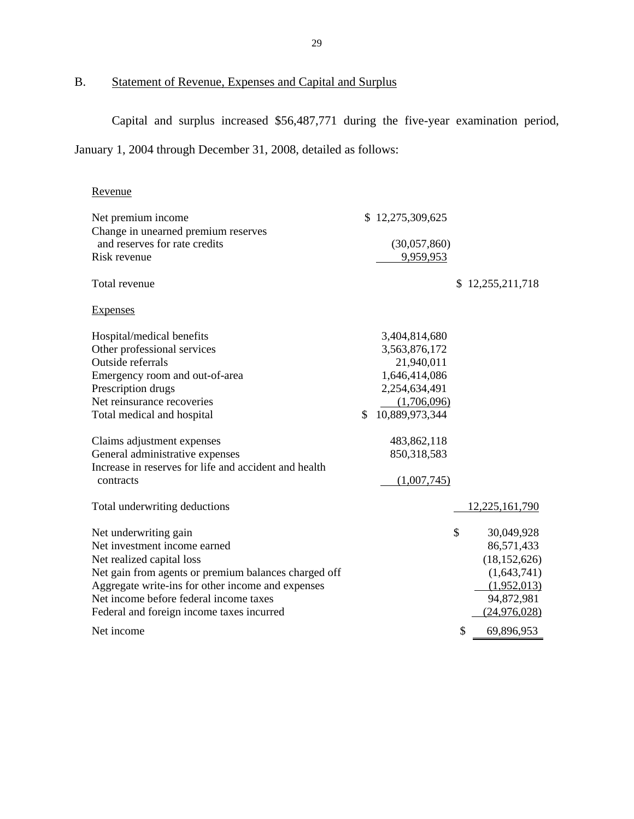# B. Statement of Revenue, Expenses and Capital and Surplus

Capital and surplus increased \$56,487,771 during the five-year examination period,

January 1, 2004 through December 31, 2008, detailed as follows:

| Revenue                                               |                      |    |                |
|-------------------------------------------------------|----------------------|----|----------------|
| Net premium income                                    | \$12,275,309,625     |    |                |
| Change in unearned premium reserves                   |                      |    |                |
| and reserves for rate credits                         | (30,057,860)         |    |                |
| Risk revenue                                          | 9,959,953            |    |                |
| Total revenue                                         |                      | S. | 12,255,211,718 |
| <b>Expenses</b>                                       |                      |    |                |
| Hospital/medical benefits                             | 3,404,814,680        |    |                |
| Other professional services                           | 3,563,876,172        |    |                |
| Outside referrals                                     | 21,940,011           |    |                |
| Emergency room and out-of-area                        | 1,646,414,086        |    |                |
| Prescription drugs                                    | 2,254,634,491        |    |                |
| Net reinsurance recoveries                            | (1,706,096)          |    |                |
| Total medical and hospital                            | \$<br>10,889,973,344 |    |                |
| Claims adjustment expenses                            | 483,862,118          |    |                |
| General administrative expenses                       | 850,318,583          |    |                |
| Increase in reserves for life and accident and health |                      |    |                |
| contracts                                             | (1,007,745)          |    |                |
| Total underwriting deductions                         |                      |    | 12,225,161,790 |
| Net underwriting gain                                 |                      | \$ | 30,049,928     |
| Net investment income earned                          |                      |    | 86,571,433     |
| Net realized capital loss                             |                      |    | (18, 152, 626) |
| Net gain from agents or premium balances charged off  |                      |    | (1,643,741)    |
| Aggregate write-ins for other income and expenses     |                      |    | (1,952,013)    |
| Net income before federal income taxes                |                      |    | 94,872,981     |
| Federal and foreign income taxes incurred             |                      |    | (24,976,028)   |
| Net income                                            |                      | \$ | 69,896,953     |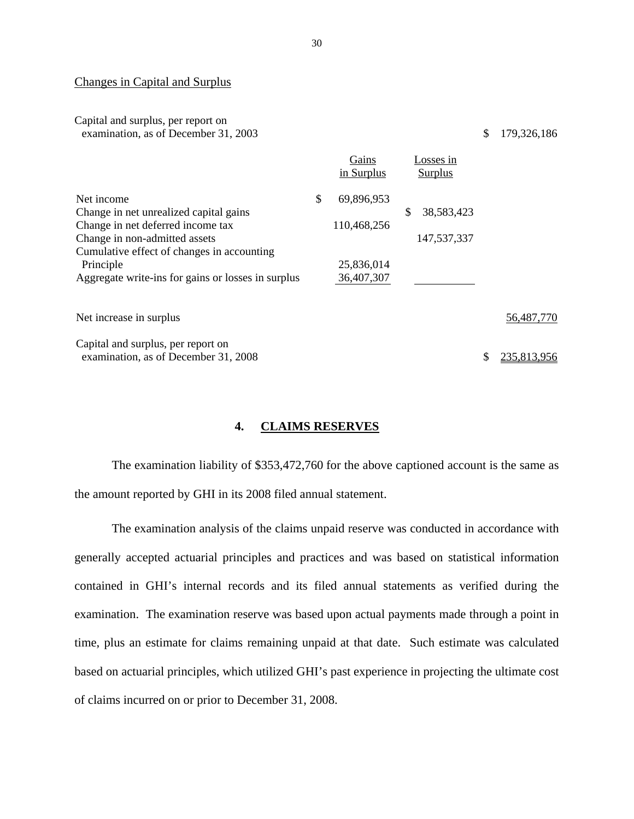### Changes in Capital and Surplus

### Capital and surplus, per report on examination, as of December 31, 2003 \$ 179,326,186

|                                                    | Gains<br>in Surplus | Losses in<br>Surplus |   |             |
|----------------------------------------------------|---------------------|----------------------|---|-------------|
| Net income                                         | \$<br>69,896,953    |                      |   |             |
| Change in net unrealized capital gains             |                     | \$<br>38,583,423     |   |             |
| Change in net deferred income tax                  | 110,468,256         |                      |   |             |
| Change in non-admitted assets                      |                     | 147,537,337          |   |             |
| Cumulative effect of changes in accounting         |                     |                      |   |             |
| Principle                                          | 25,836,014          |                      |   |             |
| Aggregate write-ins for gains or losses in surplus | 36,407,307          |                      |   |             |
| Net increase in surplus                            |                     |                      |   | 56,487,770  |
| Capital and surplus, per report on                 |                     |                      |   |             |
| examination, as of December 31, 2008               |                     |                      | S | 235,813,956 |

### **4. CLAIMS RESERVES**

The examination liability of \$353,472,760 for the above captioned account is the same as the amount reported by GHI in its 2008 filed annual statement.

The examination analysis of the claims unpaid reserve was conducted in accordance with generally accepted actuarial principles and practices and was based on statistical information contained in GHI's internal records and its filed annual statements as verified during the examination. The examination reserve was based upon actual payments made through a point in time, plus an estimate for claims remaining unpaid at that date. Such estimate was calculated based on actuarial principles, which utilized GHI's past experience in projecting the ultimate cost of claims incurred on or prior to December 31, 2008.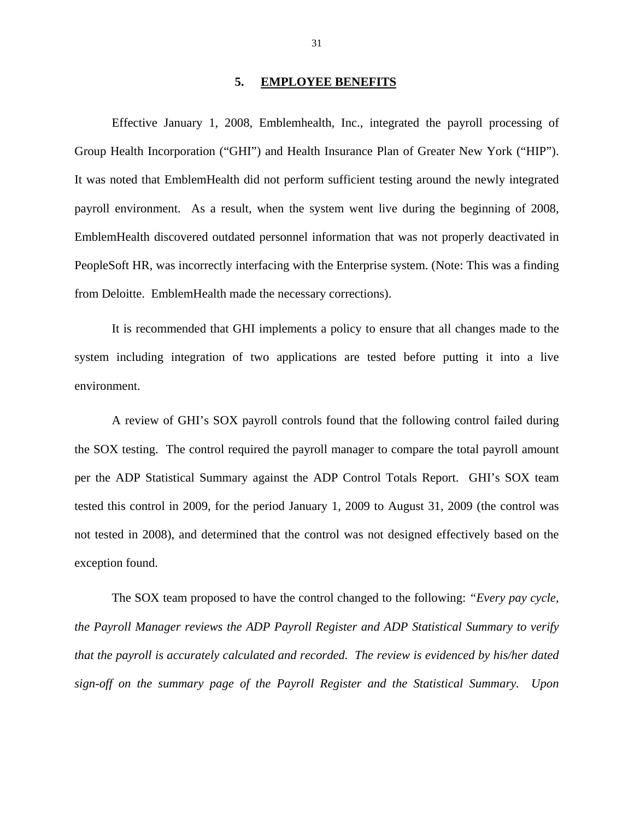### **5. EMPLOYEE BENEFITS**

<span id="page-32-0"></span>Effective January 1, 2008, Emblemhealth, Inc., integrated the payroll processing of Group Health Incorporation ("GHI") and Health Insurance Plan of Greater New York ("HIP"). It was noted that EmblemHealth did not perform sufficient testing around the newly integrated payroll environment. As a result, when the system went live during the beginning of 2008, EmblemHealth discovered outdated personnel information that was not properly deactivated in PeopleSoft HR, was incorrectly interfacing with the Enterprise system. (Note: This was a finding from Deloitte. EmblemHealth made the necessary corrections).

It is recommended that GHI implements a policy to ensure that all changes made to the system including integration of two applications are tested before putting it into a live environment.

A review of GHI's SOX payroll controls found that the following control failed during the SOX testing. The control required the payroll manager to compare the total payroll amount per the ADP Statistical Summary against the ADP Control Totals Report. GHI's SOX team tested this control in 2009, for the period January 1, 2009 to August 31, 2009 (the control was not tested in 2008), and determined that the control was not designed effectively based on the exception found.

The SOX team proposed to have the control changed to the following: *"Every pay cycle, the Payroll Manager reviews the ADP Payroll Register and ADP Statistical Summary to verify that the payroll is accurately calculated and recorded. The review is evidenced by his/her dated sign-off on the summary page of the Payroll Register and the Statistical Summary. Upon*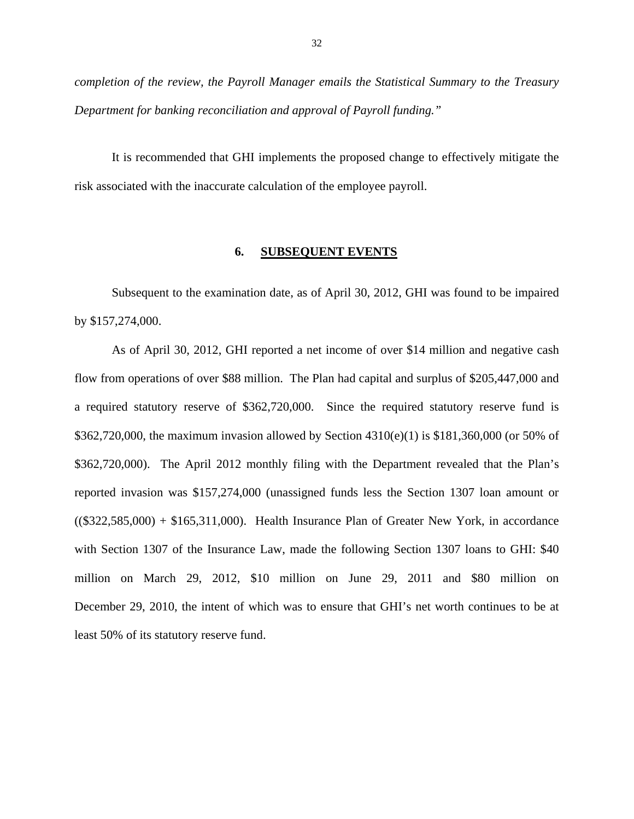<span id="page-33-0"></span>*completion of the review, the Payroll Manager emails the Statistical Summary to the Treasury Department for banking reconciliation and approval of Payroll funding."* 

It is recommended that GHI implements the proposed change to effectively mitigate the risk associated with the inaccurate calculation of the employee payroll.

### **6. SUBSEQUENT EVENTS**

Subsequent to the examination date, as of April 30, 2012, GHI was found to be impaired by \$157,274,000.

million on March 29, 2012, \$10 million on June 29, 2011 and \$80 million on As of April 30, 2012, GHI reported a net income of over \$14 million and negative cash flow from operations of over \$88 million. The Plan had capital and surplus of \$205,447,000 and a required statutory reserve of \$362,720,000. Since the required statutory reserve fund is \$362,720,000, the maximum invasion allowed by Section 4310(e)(1) is \$181,360,000 (or 50% of \$362,720,000). The April 2012 monthly filing with the Department revealed that the Plan's reported invasion was \$157,274,000 (unassigned funds less the Section 1307 loan amount or  $((\$322,585,000) + \$165,311,000)$ . Health Insurance Plan of Greater New York, in accordance with Section 1307 of the Insurance Law, made the following Section 1307 loans to GHI: \$40 December 29, 2010, the intent of which was to ensure that GHI's net worth continues to be at least 50% of its statutory reserve fund.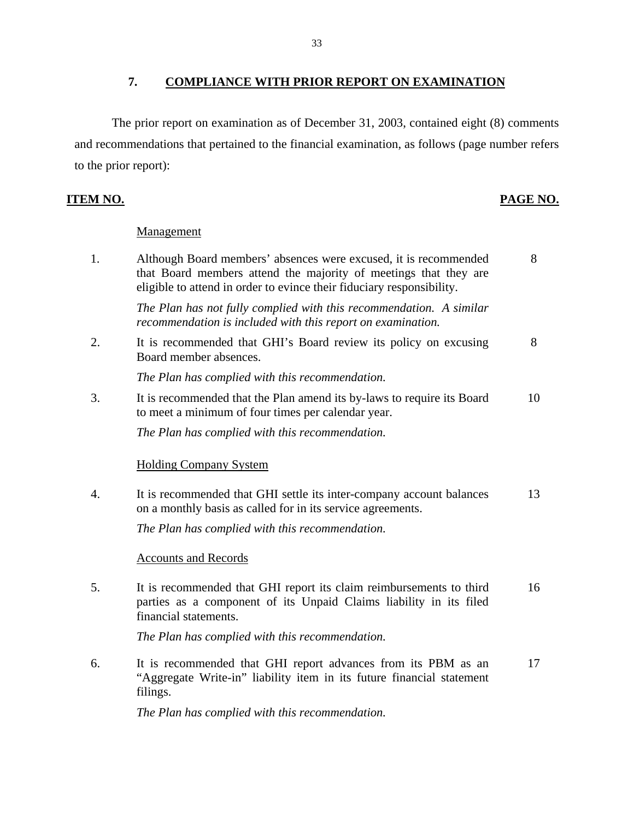# **7. COMPLIANCE WITH PRIOR REPORT ON EXAMINATION**

<span id="page-34-0"></span>The prior report on examination as of December 31, 2003, contained eight (8) comments and recommendations that pertained to the financial examination, as follows (page number refers to the prior report):

# **ITEM NO. PAGE NO.**

### **Management**

| 1. | Although Board members' absences were excused, it is recommended<br>that Board members attend the majority of meetings that they are<br>eligible to attend in order to evince their fiduciary responsibility. | 8  |
|----|---------------------------------------------------------------------------------------------------------------------------------------------------------------------------------------------------------------|----|
|    | The Plan has not fully complied with this recommendation. A similar<br>recommendation is included with this report on examination.                                                                            |    |
| 2. | It is recommended that GHI's Board review its policy on excusing<br>Board member absences.                                                                                                                    | 8  |
|    | The Plan has complied with this recommendation.                                                                                                                                                               |    |
| 3. | It is recommended that the Plan amend its by-laws to require its Board<br>to meet a minimum of four times per calendar year.                                                                                  | 10 |
|    | The Plan has complied with this recommendation.                                                                                                                                                               |    |
|    | <b>Holding Company System</b>                                                                                                                                                                                 |    |
| 4. | It is recommended that GHI settle its inter-company account balances<br>on a monthly basis as called for in its service agreements.                                                                           | 13 |
|    | The Plan has complied with this recommendation.                                                                                                                                                               |    |
|    | <b>Accounts and Records</b>                                                                                                                                                                                   |    |
| 5. | It is recommended that GHI report its claim reimbursements to third<br>parties as a component of its Unpaid Claims liability in its filed<br>financial statements.                                            | 16 |
|    | The Plan has complied with this recommendation.                                                                                                                                                               |    |
| 6. | It is recommended that GHI report advances from its PBM as an<br>"Aggregate Write-in" liability item in its future financial statement<br>filings.                                                            | 17 |
|    |                                                                                                                                                                                                               |    |

*The Plan has complied with this recommendation.*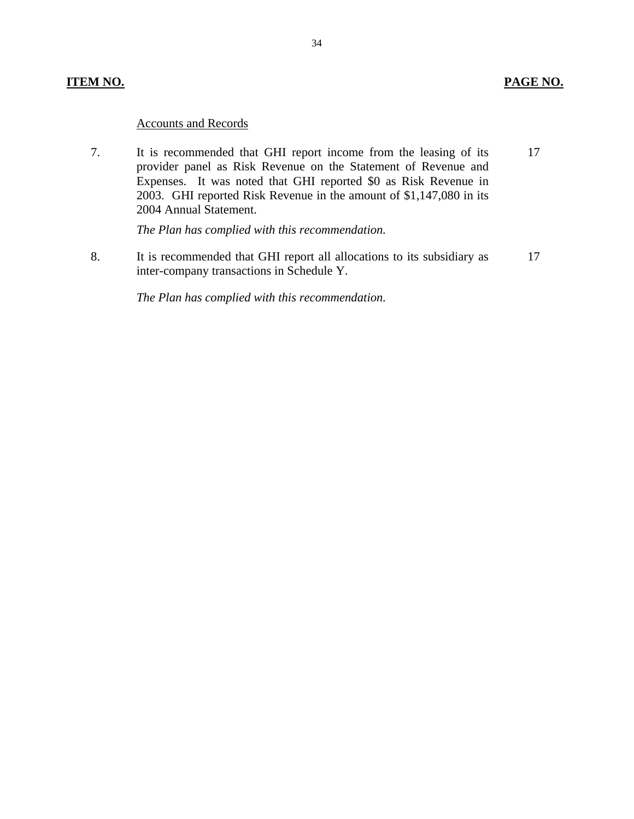### **ITEM NO.**

### **PAGE NO.**

### **Accounts and Records**

7. It is recommended that GHI report income from the leasing of its 17 provider panel as Risk Revenue on the Statement of Revenue and Expenses. It was noted that GHI reported \$0 as Risk Revenue in 2003. GHI reported Risk Revenue in the amount of \$1,147,080 in its 2004 Annual Statement.

*The Plan has complied with this recommendation.* 

8. It is recommended that GHI report all allocations to its subsidiary as 17 inter-company transactions in Schedule Y.

*The Plan has complied with this recommendation.*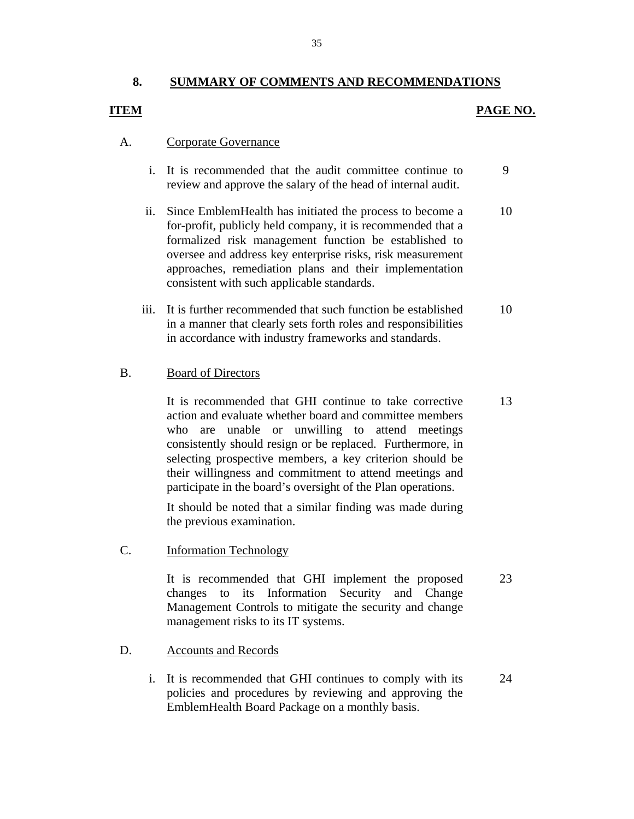### **8. SUMMARY OF COMMENTS AND RECOMMENDATIONS**

### **ITEM**

### **PAGE NO.**

### **Corporate Governance** A.

- Corporate Governance<br>
i. It is recommended that the audit committee continue to review and approve the salary of the head of internal audit. 9
- ii. Since EmblemHealth has initiated the process to become a for-profit, publicly held company, it is recommended that a formalized risk management function be established to oversee and address key enterprise risks, risk measurement approaches, remediation plans and their implementation consistent with such applicable standards. 10
- iii. It is further recommended that such function be established in a manner that clearly sets forth roles and responsibilities in accordance with industry frameworks and standards. 10

### **Board of Directors**

B. Board of Directors<br>
It is recommended<br>
action and evaluate<br>
who are unable<br>
consistently should<br>
selecting prospective<br>
their willingness and<br>
participate in the board<br>
It should be noted<br>
the previous examin<br>
C. Inform It is recommended that GHI continue to take corrective action and evaluate whether board and committee members who are unable or unwilling to attend meetings consistently should resign or be replaced. Furthermore, in selecting prospective members, a key criterion should be their willingness and commitment to attend meetings and participate in the board's oversight of the Plan operations. It is recommended that GHI continue to take corrective 13<br>action and evaluate whether board and committee members<br>who are unable or unwilling to attend meetings<br>consistently should resign or be replaced. Furthermore, in<br>se

It should be noted that a similar finding was made during the previous examination.

**Information Technology** 

It is recommended that GHI implement the proposed changes to its Information Security and Change Management Controls to mitigate the security and change management risks to its IT systems. 23

### **Accounts and Records** D.

i. It is recommended that GHI continues to comply with its policies and procedures by reviewing and approving the EmblemHealth Board Package on a monthly basis. 24

35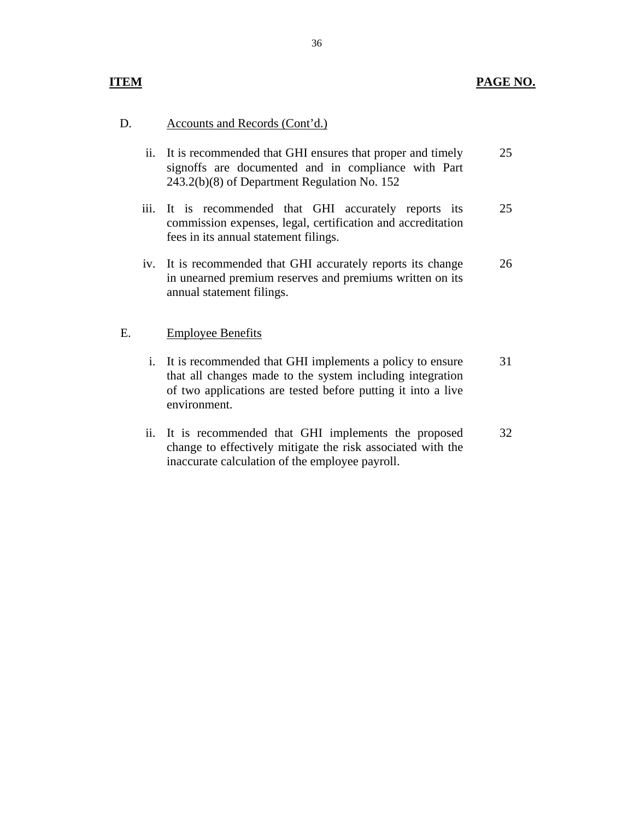### **ITEM**

### D. Accounts and Records (Cont'd.)

| ii. It is recommended that GHI ensures that proper and timely | 25 |
|---------------------------------------------------------------|----|
| signoffs are documented and in compliance with Part           |    |
| $243.2(b)(8)$ of Department Regulation No. 152                |    |

- iii. It is recommended that GHI accurately reports its commission expenses, legal, certification and accreditation fees in its annual statement filings. 25
- iv. It is recommended that GHI accurately reports its change in unearned premium reserves and premiums written on its annual statement filings. 26

### **Employee Benefits**

- E. Employee Benefits<br>i. It is recommended that GHI implements a policy to ensure that all changes made to the system including integration of two applications are tested before putting it into a live environment. 31
	- ii. It is recommended that GHI implements the proposed change to effectively mitigate the risk associated with the inaccurate calculation of the employee payroll. 32